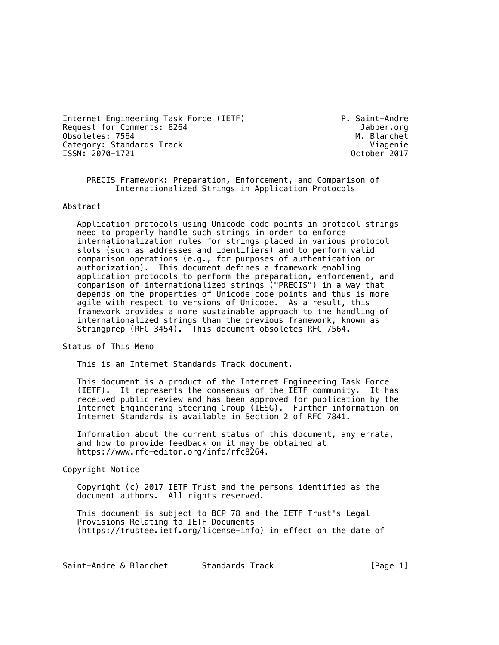Internet Engineering Task Force (IETF) P. Saint-Andre Request for Comments: 8264 Jabber.org<br>
0bsoletes: 7564 M. Blanchet Obsoletes: 7564<br>Category: Standards Track Category: Viagenie Category: Standards Track (2012)<br>ISSN: 2070-1721 (2017) 0ctober 2017 ISSN: 2070-1721

 PRECIS Framework: Preparation, Enforcement, and Comparison of Internationalized Strings in Application Protocols

#### Abstract

 Application protocols using Unicode code points in protocol strings need to properly handle such strings in order to enforce internationalization rules for strings placed in various protocol slots (such as addresses and identifiers) and to perform valid comparison operations (e.g., for purposes of authentication or authorization). This document defines a framework enabling application protocols to perform the preparation, enforcement, and comparison of internationalized strings ("PRECIS") in a way that depends on the properties of Unicode code points and thus is more agile with respect to versions of Unicode. As a result, this framework provides a more sustainable approach to the handling of internationalized strings than the previous framework, known as Stringprep (RFC 3454). This document obsoletes RFC 7564.

Status of This Memo

This is an Internet Standards Track document.

 This document is a product of the Internet Engineering Task Force (IETF). It represents the consensus of the IETF community. It has received public review and has been approved for publication by the Internet Engineering Steering Group (IESG). Further information on Internet Standards is available in Section 2 of RFC 7841.

 Information about the current status of this document, any errata, and how to provide feedback on it may be obtained at https://www.rfc-editor.org/info/rfc8264.

Copyright Notice

 Copyright (c) 2017 IETF Trust and the persons identified as the document authors. All rights reserved.

 This document is subject to BCP 78 and the IETF Trust's Legal Provisions Relating to IETF Documents (https://trustee.ietf.org/license-info) in effect on the date of

Saint-Andre & Blanchet Standards Track [Page 1]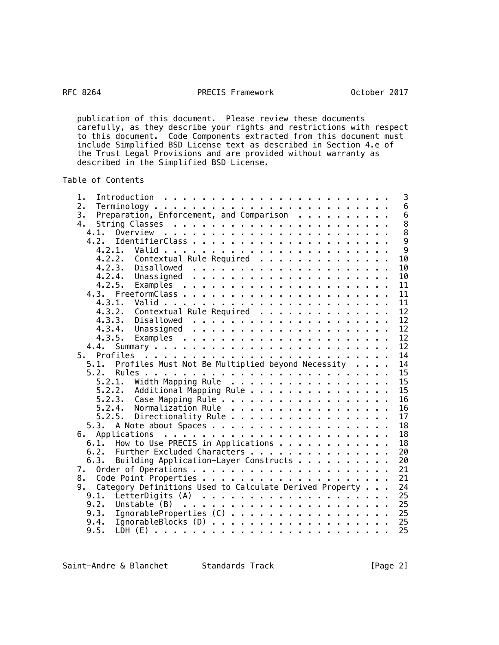# RFC 8264

# PRECIS Framework **October 2017**

 publication of this document. Please review these documents carefully, as they describe your rights and restrictions with respect to this document. Code Components extracted from this document must include Simplified BSD License text as described in Section 4.e of the Trust Legal Provisions and are provided without warranty as described in the Simplified BSD License.

Table of Contents

| 1.                                                            |    | 3                                          |
|---------------------------------------------------------------|----|--------------------------------------------|
| 2.                                                            |    | $\boldsymbol{6}$                           |
| Preparation, Enforcement, and Comparison<br>3.                |    | $\overline{6}$                             |
| 4.                                                            |    | $\begin{array}{c} 8 \\ 8 \\ 9 \end{array}$ |
| 4.1.<br>Overview                                              |    |                                            |
| 4.2.                                                          |    |                                            |
| 4.2.1.                                                        |    | $\overline{9}$                             |
| Contextual Rule Required<br>4.2.2.                            |    | 10                                         |
| 4, 2, 3,<br>Disallowed                                        |    | 10                                         |
| 4.2.4.                                                        | 10 |                                            |
| 4.2.5.                                                        | 11 |                                            |
|                                                               | 11 |                                            |
| 4.3.1.                                                        |    | 11                                         |
| Contextual Rule Required<br>4, 3, 2,                          |    | 12                                         |
| 4, 3, 3,                                                      | 12 |                                            |
| 4.3.4.                                                        |    | 12                                         |
| 4.3.5.                                                        |    | 12                                         |
| 4.4.                                                          |    | 12                                         |
| Profiles<br>5.                                                |    | 14                                         |
| Profiles Must Not Be Multiplied beyond Necessity<br>5.1.      |    | 14                                         |
| 5.2.                                                          | 15 |                                            |
| Width Mapping Rule<br>5.2.1.                                  | 15 |                                            |
| Additional Mapping Rule<br>5.2.2.                             |    | 15                                         |
| Case Mapping Rule<br>5.2.3.                                   |    | 16                                         |
| Normalization Rule<br>5.2.4.                                  |    | 16                                         |
| Directionality Rule<br>5.2.5.                                 |    | 17                                         |
|                                                               |    | 18                                         |
| 6.                                                            |    | 18                                         |
| How to Use PRECIS in Applications<br>6.1.                     |    | 18                                         |
| Further Excluded Characters<br>6.2.                           | 20 |                                            |
| Building Application-Layer Constructs<br>6.3.                 | 20 |                                            |
| 7.                                                            | 21 |                                            |
| 8.                                                            | 21 |                                            |
| Category Definitions Used to Calculate Derived Property<br>9. | 24 |                                            |
| 9.1.                                                          | 25 |                                            |
| 9.2.                                                          | 25 |                                            |
| IgnorableProperties (C)<br>9.3.                               | 25 |                                            |
| 9.4.                                                          | 25 |                                            |
| 9.5.                                                          | 25 |                                            |
|                                                               |    |                                            |

Saint-Andre & Blanchet Standards Track [Page 2]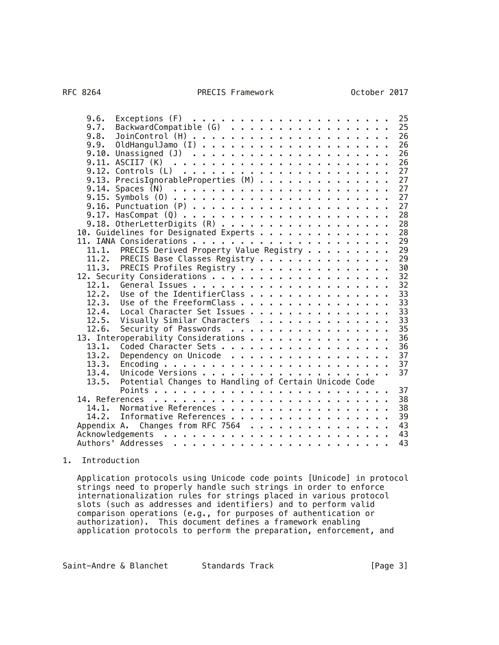| 9.6.<br>BackwardCompatible (G)<br>9.7.<br>9.8.<br>9.9.<br>9.13. PrecisIgnorableProperties (M) | 25<br>25<br>26<br>26<br>26<br>26<br>27<br>27<br>27 |
|-----------------------------------------------------------------------------------------------|----------------------------------------------------|
|                                                                                               | 27                                                 |
| 9.16. Punctuation $(P)$                                                                       | 27                                                 |
|                                                                                               | 28<br>28                                           |
| 9.18. OtherLetterDigits (R)<br>10. Guidelines for Designated Experts                          | 28                                                 |
|                                                                                               | 29                                                 |
| PRECIS Derived Property Value Registry<br>11.1.                                               | 29                                                 |
| PRECIS Base Classes Registry<br>11.2.                                                         | 29                                                 |
| PRECIS Profiles Registry<br>11.3.                                                             | 30                                                 |
|                                                                                               | 32                                                 |
| 12.1.                                                                                         | 32                                                 |
| Use of the IdentifierClass<br>12.2.                                                           | 33                                                 |
| Use of the FreeformClass<br>12.3.                                                             | 33                                                 |
| Local Character Set Issues<br>12.4.                                                           | 33                                                 |
| Visually Similar Characters<br>12.5.                                                          | 33                                                 |
| Security of Passwords<br>12.6.                                                                | 35                                                 |
| 13. Interoperability Considerations                                                           | 36                                                 |
| 13.1.<br>13.2.                                                                                | 36<br>37                                           |
| Dependency on Unicode<br>13.3.                                                                | 37                                                 |
| 13.4.                                                                                         | 37                                                 |
| Potential Changes to Handling of Certain Unicode Code<br>13.5.                                |                                                    |
|                                                                                               | 37                                                 |
| 14. References                                                                                | 38                                                 |
| Normative References<br>14.1.                                                                 | 38                                                 |
| 14.2.<br>Informative References                                                               | 39                                                 |
| Changes from RFC 7564<br>Appendix A.                                                          | 43                                                 |
|                                                                                               | 43                                                 |
|                                                                                               | 43                                                 |
|                                                                                               |                                                    |

# 1. Introduction

 Application protocols using Unicode code points [Unicode] in protocol strings need to properly handle such strings in order to enforce internationalization rules for strings placed in various protocol slots (such as addresses and identifiers) and to perform valid comparison operations (e.g., for purposes of authentication or authorization). This document defines a framework enabling application protocols to perform the preparation, enforcement, and

Saint-Andre & Blanchet Standards Track [Page 3]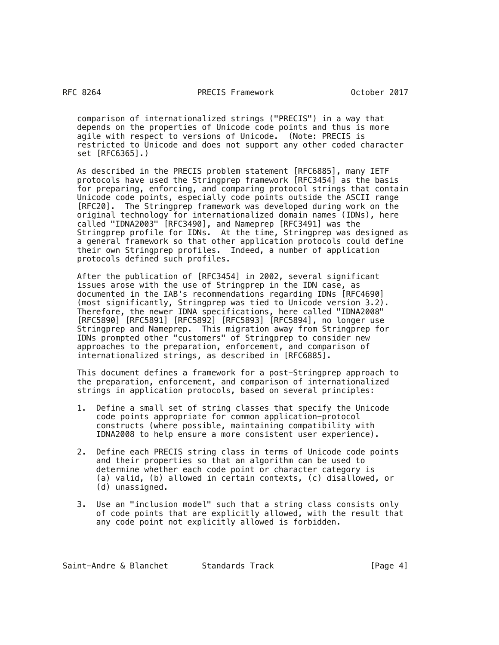comparison of internationalized strings ("PRECIS") in a way that depends on the properties of Unicode code points and thus is more agile with respect to versions of Unicode. (Note: PRECIS is restricted to Unicode and does not support any other coded character set [RFC6365].)

 As described in the PRECIS problem statement [RFC6885], many IETF protocols have used the Stringprep framework [RFC3454] as the basis for preparing, enforcing, and comparing protocol strings that contain Unicode code points, especially code points outside the ASCII range [RFC20]. The Stringprep framework was developed during work on the original technology for internationalized domain names (IDNs), here called "IDNA2003" [RFC3490], and Nameprep [RFC3491] was the Stringprep profile for IDNs. At the time, Stringprep was designed as a general framework so that other application protocols could define their own Stringprep profiles. Indeed, a number of application protocols defined such profiles.

 After the publication of [RFC3454] in 2002, several significant issues arose with the use of Stringprep in the IDN case, as documented in the IAB's recommendations regarding IDNs [RFC4690] (most significantly, Stringprep was tied to Unicode version 3.2). Therefore, the newer IDNA specifications, here called "IDNA2008" [RFC5890] [RFC5891] [RFC5892] [RFC5893] [RFC5894], no longer use Stringprep and Nameprep. This migration away from Stringprep for IDNs prompted other "customers" of Stringprep to consider new approaches to the preparation, enforcement, and comparison of internationalized strings, as described in [RFC6885].

 This document defines a framework for a post-Stringprep approach to the preparation, enforcement, and comparison of internationalized strings in application protocols, based on several principles:

- 1. Define a small set of string classes that specify the Unicode code points appropriate for common application-protocol constructs (where possible, maintaining compatibility with IDNA2008 to help ensure a more consistent user experience).
- 2. Define each PRECIS string class in terms of Unicode code points and their properties so that an algorithm can be used to determine whether each code point or character category is (a) valid, (b) allowed in certain contexts, (c) disallowed, or (d) unassigned.
- 3. Use an "inclusion model" such that a string class consists only of code points that are explicitly allowed, with the result that any code point not explicitly allowed is forbidden.

Saint-Andre & Blanchet 5tandards Track Track [Page 4]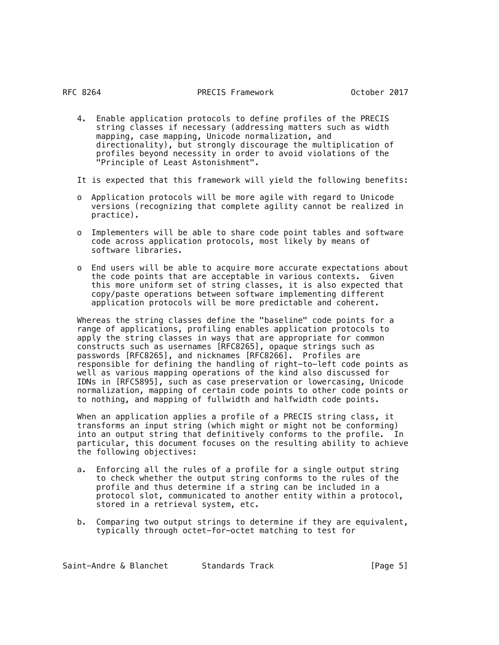4. Enable application protocols to define profiles of the PRECIS string classes if necessary (addressing matters such as width mapping, case mapping, Unicode normalization, and directionality), but strongly discourage the multiplication of profiles beyond necessity in order to avoid violations of the "Principle of Least Astonishment".

It is expected that this framework will yield the following benefits:

- o Application protocols will be more agile with regard to Unicode versions (recognizing that complete agility cannot be realized in practice).
- o Implementers will be able to share code point tables and software code across application protocols, most likely by means of software libraries.
- o End users will be able to acquire more accurate expectations about the code points that are acceptable in various contexts. Given this more uniform set of string classes, it is also expected that copy/paste operations between software implementing different application protocols will be more predictable and coherent.

 Whereas the string classes define the "baseline" code points for a range of applications, profiling enables application protocols to apply the string classes in ways that are appropriate for common constructs such as usernames [RFC8265], opaque strings such as passwords [RFC8265], and nicknames [RFC8266]. Profiles are responsible for defining the handling of right-to-left code points as well as various mapping operations of the kind also discussed for IDNs in [RFC5895], such as case preservation or lowercasing, Unicode normalization, mapping of certain code points to other code points or to nothing, and mapping of fullwidth and halfwidth code points.

 When an application applies a profile of a PRECIS string class, it transforms an input string (which might or might not be conforming) into an output string that definitively conforms to the profile. In particular, this document focuses on the resulting ability to achieve the following objectives:

- a. Enforcing all the rules of a profile for a single output string to check whether the output string conforms to the rules of the profile and thus determine if a string can be included in a protocol slot, communicated to another entity within a protocol, stored in a retrieval system, etc.
- b. Comparing two output strings to determine if they are equivalent, typically through octet-for-octet matching to test for

Saint-Andre & Blanchet Standards Track [Page 5]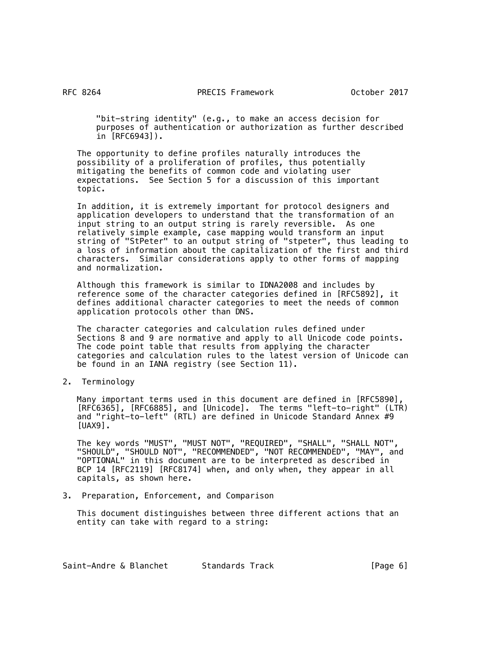"bit-string identity" (e.g., to make an access decision for purposes of authentication or authorization as further described in [RFC6943]).

 The opportunity to define profiles naturally introduces the possibility of a proliferation of profiles, thus potentially mitigating the benefits of common code and violating user expectations. See Section 5 for a discussion of this important topic.

 In addition, it is extremely important for protocol designers and application developers to understand that the transformation of an input string to an output string is rarely reversible. As one relatively simple example, case mapping would transform an input string of "StPeter" to an output string of "stpeter", thus leading to a loss of information about the capitalization of the first and third characters. Similar considerations apply to other forms of mapping and normalization.

 Although this framework is similar to IDNA2008 and includes by reference some of the character categories defined in [RFC5892], it defines additional character categories to meet the needs of common application protocols other than DNS.

 The character categories and calculation rules defined under Sections 8 and 9 are normative and apply to all Unicode code points. The code point table that results from applying the character categories and calculation rules to the latest version of Unicode can be found in an IANA registry (see Section 11).

2. Terminology

 Many important terms used in this document are defined in [RFC5890], [RFC6365], [RFC6885], and [Unicode]. The terms "left-to-right" (LTR) and "right-to-left" (RTL) are defined in Unicode Standard Annex #9  $[UAX9]$ .

 The key words "MUST", "MUST NOT", "REQUIRED", "SHALL", "SHALL NOT", "SHOULD", "SHOULD NOT", "RECOMMENDED", "NOT RECOMMENDED", "MAY", and "OPTIONAL" in this document are to be interpreted as described in BCP 14 [RFC2119] [RFC8174] when, and only when, they appear in all capitals, as shown here.

3. Preparation, Enforcement, and Comparison

 This document distinguishes between three different actions that an entity can take with regard to a string: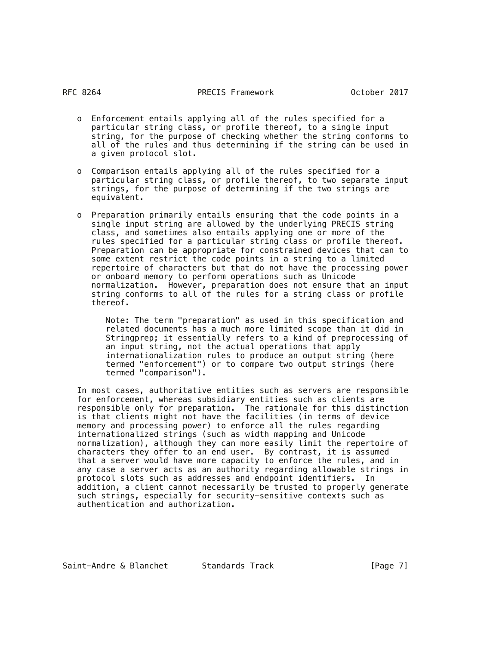- o Enforcement entails applying all of the rules specified for a particular string class, or profile thereof, to a single input string, for the purpose of checking whether the string conforms to all of the rules and thus determining if the string can be used in a given protocol slot.
- o Comparison entails applying all of the rules specified for a particular string class, or profile thereof, to two separate input strings, for the purpose of determining if the two strings are equivalent.
- o Preparation primarily entails ensuring that the code points in a single input string are allowed by the underlying PRECIS string class, and sometimes also entails applying one or more of the rules specified for a particular string class or profile thereof. Preparation can be appropriate for constrained devices that can to some extent restrict the code points in a string to a limited repertoire of characters but that do not have the processing power or onboard memory to perform operations such as Unicode normalization. However, preparation does not ensure that an input string conforms to all of the rules for a string class or profile thereof.

 Note: The term "preparation" as used in this specification and related documents has a much more limited scope than it did in Stringprep; it essentially refers to a kind of preprocessing of an input string, not the actual operations that apply internationalization rules to produce an output string (here termed "enforcement") or to compare two output strings (here termed "comparison").

 In most cases, authoritative entities such as servers are responsible for enforcement, whereas subsidiary entities such as clients are responsible only for preparation. The rationale for this distinction is that clients might not have the facilities (in terms of device memory and processing power) to enforce all the rules regarding internationalized strings (such as width mapping and Unicode normalization), although they can more easily limit the repertoire of characters they offer to an end user. By contrast, it is assumed that a server would have more capacity to enforce the rules, and in any case a server acts as an authority regarding allowable strings in protocol slots such as addresses and endpoint identifiers. In addition, a client cannot necessarily be trusted to properly generate such strings, especially for security-sensitive contexts such as authentication and authorization.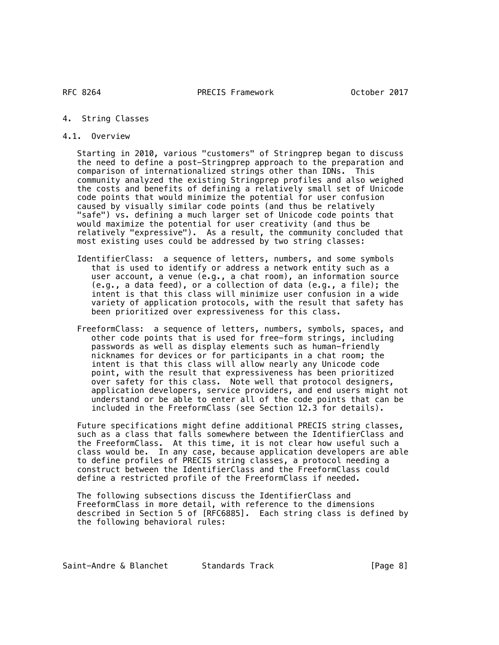#### 4. String Classes

4.1. Overview

 Starting in 2010, various "customers" of Stringprep began to discuss the need to define a post-Stringprep approach to the preparation and comparison of internationalized strings other than IDNs. This community analyzed the existing Stringprep profiles and also weighed the costs and benefits of defining a relatively small set of Unicode code points that would minimize the potential for user confusion caused by visually similar code points (and thus be relatively "safe") vs. defining a much larger set of Unicode code points that would maximize the potential for user creativity (and thus be relatively "expressive"). As a result, the community concluded that most existing uses could be addressed by two string classes:

- IdentifierClass: a sequence of letters, numbers, and some symbols that is used to identify or address a network entity such as a user account, a venue (e.g., a chat room), an information source (e.g., a data feed), or a collection of data (e.g., a file); the intent is that this class will minimize user confusion in a wide variety of application protocols, with the result that safety has been prioritized over expressiveness for this class.
- FreeformClass: a sequence of letters, numbers, symbols, spaces, and other code points that is used for free-form strings, including passwords as well as display elements such as human-friendly nicknames for devices or for participants in a chat room; the intent is that this class will allow nearly any Unicode code point, with the result that expressiveness has been prioritized over safety for this class. Note well that protocol designers, application developers, service providers, and end users might not understand or be able to enter all of the code points that can be included in the FreeformClass (see Section 12.3 for details).

 Future specifications might define additional PRECIS string classes, such as a class that falls somewhere between the IdentifierClass and the FreeformClass. At this time, it is not clear how useful such a class would be. In any case, because application developers are able to define profiles of PRECIS string classes, a protocol needing a construct between the IdentifierClass and the FreeformClass could define a restricted profile of the FreeformClass if needed.

 The following subsections discuss the IdentifierClass and FreeformClass in more detail, with reference to the dimensions described in Section 5 of [RFC6885]. Each string class is defined by the following behavioral rules: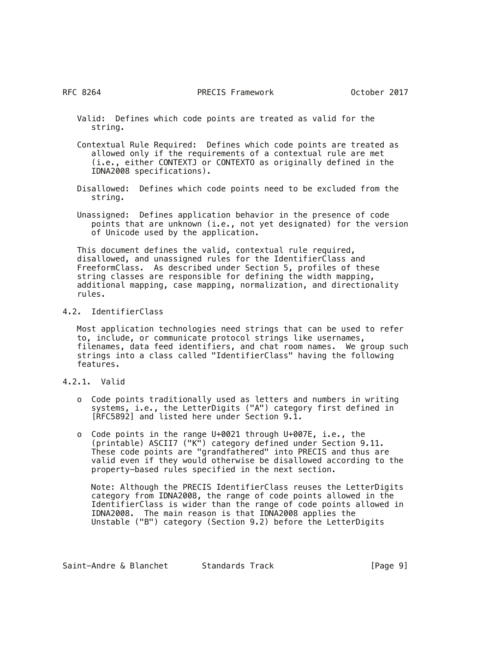- Valid: Defines which code points are treated as valid for the string.
- Contextual Rule Required: Defines which code points are treated as allowed only if the requirements of a contextual rule are met (i.e., either CONTEXTJ or CONTEXTO as originally defined in the IDNA2008 specifications).
- Disallowed: Defines which code points need to be excluded from the string.
- Unassigned: Defines application behavior in the presence of code points that are unknown (i.e., not yet designated) for the version of Unicode used by the application.

 This document defines the valid, contextual rule required, disallowed, and unassigned rules for the IdentifierClass and FreeformClass. As described under Section 5, profiles of these string classes are responsible for defining the width mapping, additional mapping, case mapping, normalization, and directionality rules.

4.2. IdentifierClass

 Most application technologies need strings that can be used to refer to, include, or communicate protocol strings like usernames, filenames, data feed identifiers, and chat room names. We group such strings into a class called "IdentifierClass" having the following features.

- 4.2.1. Valid
	- o Code points traditionally used as letters and numbers in writing systems, i.e., the LetterDigits ("A") category first defined in [RFC5892] and listed here under Section 9.1.
	- o Code points in the range U+0021 through U+007E, i.e., the (printable) ASCII7 ("K") category defined under Section 9.11. These code points are "grandfathered" into PRECIS and thus are valid even if they would otherwise be disallowed according to the property-based rules specified in the next section.

 Note: Although the PRECIS IdentifierClass reuses the LetterDigits category from IDNA2008, the range of code points allowed in the IdentifierClass is wider than the range of code points allowed in IDNA2008. The main reason is that IDNA2008 applies the Unstable ("B") category (Section 9.2) before the LetterDigits

| Saint-Andre & Blanchet<br>Standards Track |  | [Page 9] |
|-------------------------------------------|--|----------|
|-------------------------------------------|--|----------|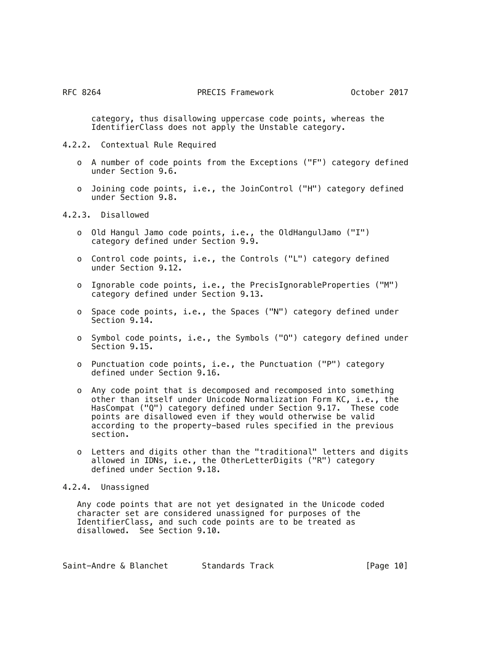category, thus disallowing uppercase code points, whereas the IdentifierClass does not apply the Unstable category.

- 4.2.2. Contextual Rule Required
	- o A number of code points from the Exceptions ("F") category defined under Section 9.6.
	- o Joining code points, i.e., the JoinControl ("H") category defined under Section 9.8.

# 4.2.3. Disallowed

- o Old Hangul Jamo code points, i.e., the OldHangulJamo ("I") category defined under Section 9.9.
- o Control code points, i.e., the Controls ("L") category defined under Section 9.12.
- o Ignorable code points, i.e., the PrecisIgnorableProperties ("M") category defined under Section 9.13.
- o Space code points, i.e., the Spaces ("N") category defined under Section 9.14.
- o Symbol code points, i.e., the Symbols ("O") category defined under Section 9.15.
- o Punctuation code points, i.e., the Punctuation ("P") category defined under Section 9.16.
- o Any code point that is decomposed and recomposed into something other than itself under Unicode Normalization Form KC, i.e., the HasCompat ("Q") category defined under Section 9.17. These code points are disallowed even if they would otherwise be valid according to the property-based rules specified in the previous section.
- o Letters and digits other than the "traditional" letters and digits allowed in IDNs, i.e., the OtherLetterDigits ("R") category defined under Section 9.18.

## 4.2.4. Unassigned

 Any code points that are not yet designated in the Unicode coded character set are considered unassigned for purposes of the IdentifierClass, and such code points are to be treated as disallowed. See Section 9.10.

| Saint-Andre & Blanchet | Standards Track |  | [Page 10] |  |
|------------------------|-----------------|--|-----------|--|
|------------------------|-----------------|--|-----------|--|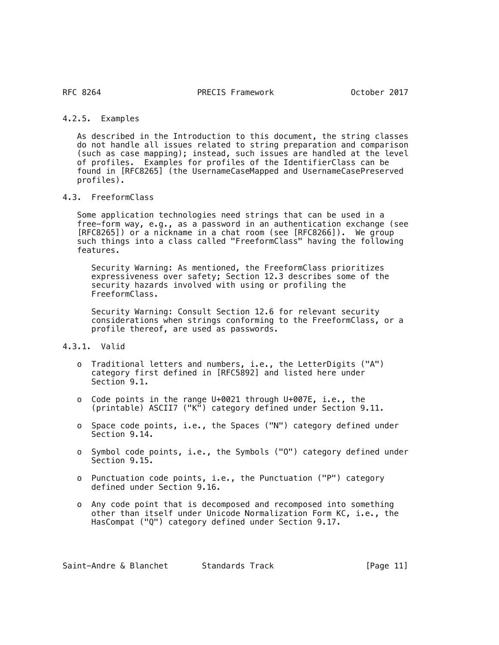# 4.2.5. Examples

 As described in the Introduction to this document, the string classes do not handle all issues related to string preparation and comparison (such as case mapping); instead, such issues are handled at the level of profiles. Examples for profiles of the IdentifierClass can be found in [RFC8265] (the UsernameCaseMapped and UsernameCasePreserved profiles).

# 4.3. FreeformClass

 Some application technologies need strings that can be used in a free-form way, e.g., as a password in an authentication exchange (see [RFC8265]) or a nickname in a chat room (see [RFC8266]). We group such things into a class called "FreeformClass" having the following features.

 Security Warning: As mentioned, the FreeformClass prioritizes expressiveness over safety; Section 12.3 describes some of the security hazards involved with using or profiling the FreeformClass.

 Security Warning: Consult Section 12.6 for relevant security considerations when strings conforming to the FreeformClass, or a profile thereof, are used as passwords.

## 4.3.1. Valid

- o Traditional letters and numbers, i.e., the LetterDigits ("A") category first defined in [RFC5892] and listed here under Section 9.1.
- o Code points in the range U+0021 through U+007E, i.e., the (printable) ASCII7 ("K") category defined under Section 9.11.
- o Space code points, i.e., the Spaces ("N") category defined under Section 9.14.
- o Symbol code points, i.e., the Symbols ("O") category defined under Section 9.15.
- o Punctuation code points, i.e., the Punctuation ("P") category defined under Section 9.16.
- o Any code point that is decomposed and recomposed into something other than itself under Unicode Normalization Form KC, i.e., the HasCompat ("Q") category defined under Section 9.17.

| Saint-Andre & Blanchet |  | Standards Track | [Page 11] |
|------------------------|--|-----------------|-----------|
|------------------------|--|-----------------|-----------|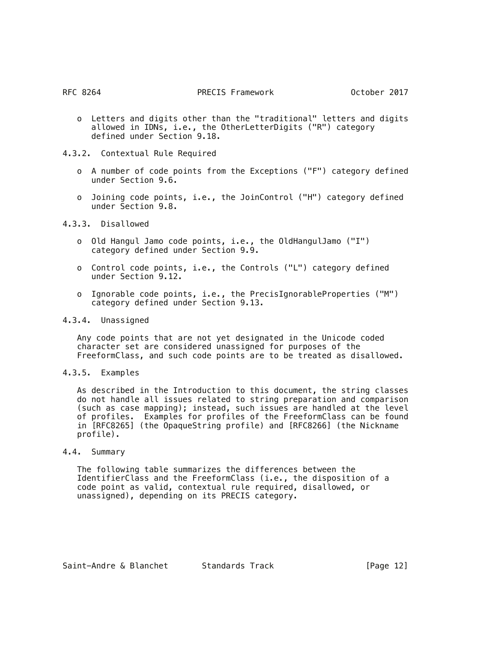- o Letters and digits other than the "traditional" letters and digits allowed in IDNs, i.e., the OtherLetterDigits ("R") category defined under Section 9.18.
- 4.3.2. Contextual Rule Required
	- o A number of code points from the Exceptions ("F") category defined under Section 9.6.
	- o Joining code points, i.e., the JoinControl ("H") category defined under Section 9.8.

4.3.3. Disallowed

- o Old Hangul Jamo code points, i.e., the OldHangulJamo ("I") category defined under Section 9.9.
- o Control code points, i.e., the Controls ("L") category defined under Section 9.12.
- o Ignorable code points, i.e., the PrecisIgnorableProperties ("M") category defined under Section 9.13.
- 4.3.4. Unassigned

 Any code points that are not yet designated in the Unicode coded character set are considered unassigned for purposes of the FreeformClass, and such code points are to be treated as disallowed.

4.3.5. Examples

 As described in the Introduction to this document, the string classes do not handle all issues related to string preparation and comparison (such as case mapping); instead, such issues are handled at the level of profiles. Examples for profiles of the FreeformClass can be found in [RFC8265] (the OpaqueString profile) and [RFC8266] (the Nickname profile).

4.4. Summary

 The following table summarizes the differences between the IdentifierClass and the FreeformClass (i.e., the disposition of a code point as valid, contextual rule required, disallowed, or unassigned), depending on its PRECIS category.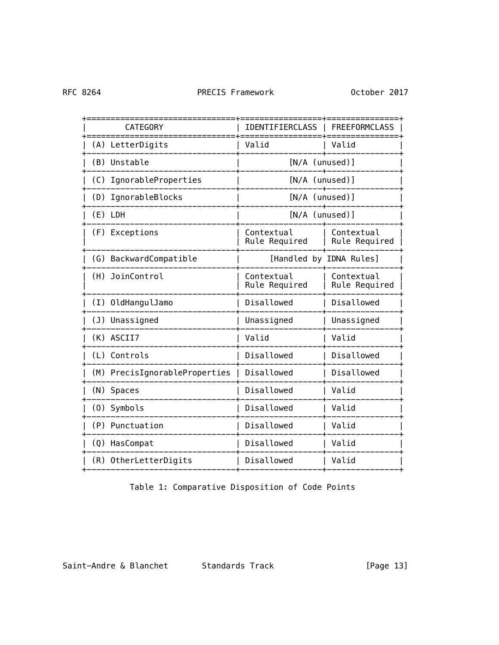RFC 8264

| <b>CATEGORY</b>               | <b>IDENTIFIERCLASS</b>      | <b>FREEFORMCLASS</b>        |
|-------------------------------|-----------------------------|-----------------------------|
| (A) LetterDigits              | Valid                       | Valid                       |
| (B) Unstable                  | [N/A (unused)]              |                             |
| (C) IgnorableProperties       | [N/A (unused)]              |                             |
| (D) IgnorableBlocks           | [N/A (unused)]              |                             |
| $(E)$ LDH                     | [N/A (unused)]              |                             |
| (F) Exceptions                | Contextual<br>Rule Required | Contextual<br>Rule Required |
| (G) BackwardCompatible        |                             | [Handled by IDNA Rules]     |
| (H) JoinControl               | Contextual<br>Rule Required | Contextual<br>Rule Required |
| (I) OldHangulJamo             | Disallowed                  | Disallowed                  |
| (J) Unassigned                | Unassigned                  | Unassigned                  |
| (K) ASCII7                    | Valid                       | Valid                       |
| (L) Controls                  | Disallowed                  | Disallowed                  |
| (M) PrecisIgnorableProperties | Disallowed                  | Disallowed                  |
| (N) Spaces                    | Disallowed                  | Valid                       |
| (0) Symbols                   | Disallowed                  | Valid                       |
| (P) Punctuation               | Disallowed                  | Valid                       |
| (Q) HasCompat                 | Disallowed                  | Valid                       |
| (R) OtherLetterDigits         | Disallowed                  | Valid                       |

Table 1: Comparative Disposition of Code Points

Saint-Andre & Blanchet Standards Track [Page 13]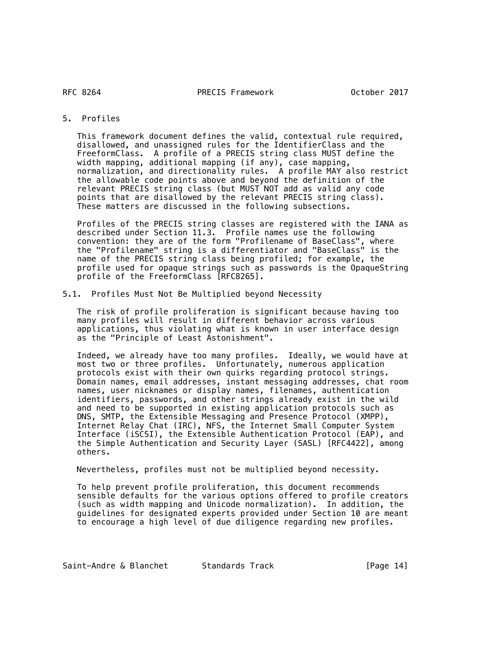RFC 8264

# 5. Profiles

 This framework document defines the valid, contextual rule required, disallowed, and unassigned rules for the IdentifierClass and the FreeformClass. A profile of a PRECIS string class MUST define the width mapping, additional mapping (if any), case mapping, normalization, and directionality rules. A profile MAY also restrict the allowable code points above and beyond the definition of the relevant PRECIS string class (but MUST NOT add as valid any code points that are disallowed by the relevant PRECIS string class). These matters are discussed in the following subsections.

 Profiles of the PRECIS string classes are registered with the IANA as described under Section 11.3. Profile names use the following convention: they are of the form "Profilename of BaseClass", where the "Profilename" string is a differentiator and "BaseClass" is the name of the PRECIS string class being profiled; for example, the profile used for opaque strings such as passwords is the OpaqueString profile of the FreeformClass [RFC8265].

## 5.1. Profiles Must Not Be Multiplied beyond Necessity

 The risk of profile proliferation is significant because having too many profiles will result in different behavior across various applications, thus violating what is known in user interface design as the "Principle of Least Astonishment".

 Indeed, we already have too many profiles. Ideally, we would have at most two or three profiles. Unfortunately, numerous application protocols exist with their own quirks regarding protocol strings. Domain names, email addresses, instant messaging addresses, chat room names, user nicknames or display names, filenames, authentication identifiers, passwords, and other strings already exist in the wild and need to be supported in existing application protocols such as DNS, SMTP, the Extensible Messaging and Presence Protocol (XMPP), Internet Relay Chat (IRC), NFS, the Internet Small Computer System Interface (iSCSI), the Extensible Authentication Protocol (EAP), and the Simple Authentication and Security Layer (SASL) [RFC4422], among others.

Nevertheless, profiles must not be multiplied beyond necessity.

 To help prevent profile proliferation, this document recommends sensible defaults for the various options offered to profile creators (such as width mapping and Unicode normalization). In addition, the guidelines for designated experts provided under Section 10 are meant to encourage a high level of due diligence regarding new profiles.

Saint-Andre & Blanchet Standards Track [Page 14]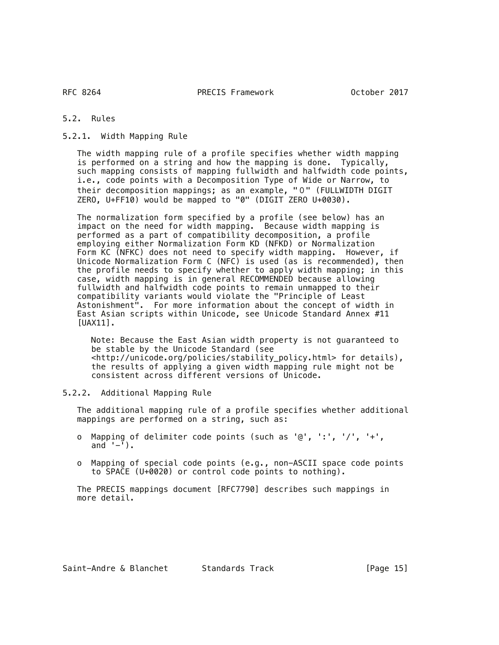5.2. Rules

5.2.1. Width Mapping Rule

 The width mapping rule of a profile specifies whether width mapping is performed on a string and how the mapping is done. Typically, such mapping consists of mapping fullwidth and halfwidth code points, i.e., code points with a Decomposition Type of Wide or Narrow, to their decomposition mappings; as an example, "0" (FULLWIDTH DIGIT ZERO, U+FF10) would be mapped to "0" (DIGIT ZERO U+0030).

 The normalization form specified by a profile (see below) has an impact on the need for width mapping. Because width mapping is performed as a part of compatibility decomposition, a profile employing either Normalization Form KD (NFKD) or Normalization Form KC (NFKC) does not need to specify width mapping. However, if Unicode Normalization Form C (NFC) is used (as is recommended), then the profile needs to specify whether to apply width mapping; in this case, width mapping is in general RECOMMENDED because allowing fullwidth and halfwidth code points to remain unmapped to their compatibility variants would violate the "Principle of Least Astonishment". For more information about the concept of width in East Asian scripts within Unicode, see Unicode Standard Annex #11 [UAX11].

 Note: Because the East Asian width property is not guaranteed to be stable by the Unicode Standard (see <http://unicode.org/policies/stability\_policy.html> for details), the results of applying a given width mapping rule might not be consistent across different versions of Unicode.

5.2.2. Additional Mapping Rule

 The additional mapping rule of a profile specifies whether additional mappings are performed on a string, such as:

- o Mapping of delimiter code points (such as '@', ':', '/', '+', and  $-$ ).
- o Mapping of special code points (e.g., non-ASCII space code points to SPACE (U+0020) or control code points to nothing).

 The PRECIS mappings document [RFC7790] describes such mappings in more detail.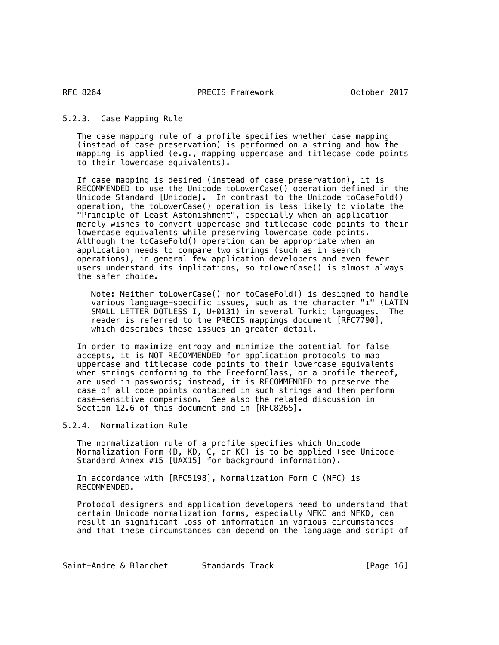5.2.3. Case Mapping Rule

 The case mapping rule of a profile specifies whether case mapping (instead of case preservation) is performed on a string and how the mapping is applied (e.g., mapping uppercase and titlecase code points to their lowercase equivalents).

 If case mapping is desired (instead of case preservation), it is RECOMMENDED to use the Unicode toLowerCase() operation defined in the Unicode Standard [Unicode]. In contrast to the Unicode toCaseFold() operation, the toLowerCase() operation is less likely to violate the "Principle of Least Astonishment", especially when an application merely wishes to convert uppercase and titlecase code points to their lowercase equivalents while preserving lowercase code points. Although the toCaseFold() operation can be appropriate when an application needs to compare two strings (such as in search operations), in general few application developers and even fewer users understand its implications, so toLowerCase() is almost always the safer choice.

 Note: Neither toLowerCase() nor toCaseFold() is designed to handle various language-specific issues, such as the character "ı" (LATIN SMALL LETTER DOTLESS I, U+0131) in several Turkic languages. The reader is referred to the PRECIS mappings document [RFC7790], which describes these issues in greater detail.

 In order to maximize entropy and minimize the potential for false accepts, it is NOT RECOMMENDED for application protocols to map uppercase and titlecase code points to their lowercase equivalents when strings conforming to the FreeformClass, or a profile thereof, are used in passwords; instead, it is RECOMMENDED to preserve the case of all code points contained in such strings and then perform case-sensitive comparison. See also the related discussion in Section 12.6 of this document and in [RFC8265].

5.2.4. Normalization Rule

 The normalization rule of a profile specifies which Unicode Normalization Form (D, KD, C, or KC) is to be applied (see Unicode Standard Annex #15 [UAX15] for background information).

 In accordance with [RFC5198], Normalization Form C (NFC) is RECOMMENDED.

 Protocol designers and application developers need to understand that certain Unicode normalization forms, especially NFKC and NFKD, can result in significant loss of information in various circumstances and that these circumstances can depend on the language and script of

Saint-Andre & Blanchet Standards Track [Page 16]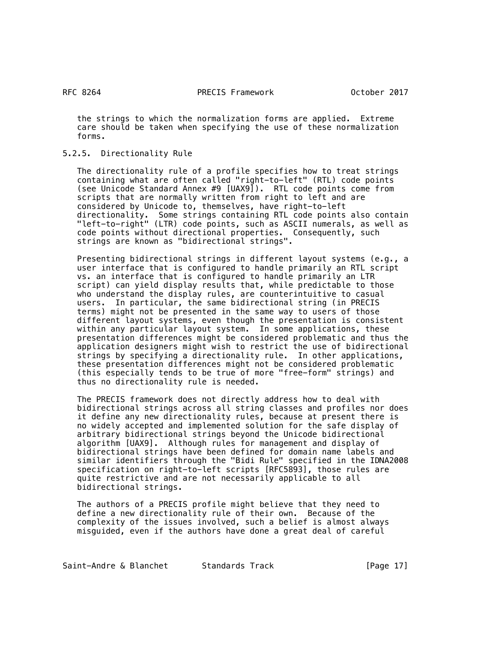RFC 8264

 the strings to which the normalization forms are applied. Extreme care should be taken when specifying the use of these normalization forms.

# 5.2.5. Directionality Rule

 The directionality rule of a profile specifies how to treat strings containing what are often called "right-to-left" (RTL) code points (see Unicode Standard Annex #9 [UAX9]). RTL code points come from scripts that are normally written from right to left and are considered by Unicode to, themselves, have right-to-left directionality. Some strings containing RTL code points also contain "left-to-right" (LTR) code points, such as ASCII numerals, as well as code points without directional properties. Consequently, such strings are known as "bidirectional strings".

 Presenting bidirectional strings in different layout systems (e.g., a user interface that is configured to handle primarily an RTL script vs. an interface that is configured to handle primarily an LTR script) can yield display results that, while predictable to those who understand the display rules, are counterintuitive to casual users. In particular, the same bidirectional string (in PRECIS terms) might not be presented in the same way to users of those different layout systems, even though the presentation is consistent within any particular layout system. In some applications, these presentation differences might be considered problematic and thus the application designers might wish to restrict the use of bidirectional strings by specifying a directionality rule. In other applications, these presentation differences might not be considered problematic (this especially tends to be true of more "free-form" strings) and thus no directionality rule is needed.

 The PRECIS framework does not directly address how to deal with bidirectional strings across all string classes and profiles nor does it define any new directionality rules, because at present there is no widely accepted and implemented solution for the safe display of arbitrary bidirectional strings beyond the Unicode bidirectional algorithm [UAX9]. Although rules for management and display of bidirectional strings have been defined for domain name labels and similar identifiers through the "Bidi Rule" specified in the IDNA2008 specification on right-to-left scripts [RFC5893], those rules are quite restrictive and are not necessarily applicable to all bidirectional strings.

 The authors of a PRECIS profile might believe that they need to define a new directionality rule of their own. Because of the complexity of the issues involved, such a belief is almost always misguided, even if the authors have done a great deal of careful

Saint-Andre & Blanchet Standards Track [Page 17]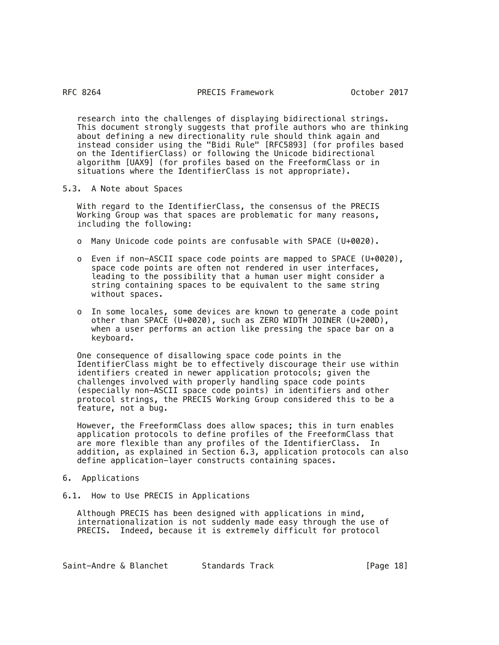research into the challenges of displaying bidirectional strings. This document strongly suggests that profile authors who are thinking about defining a new directionality rule should think again and instead consider using the "Bidi Rule" [RFC5893] (for profiles based on the IdentifierClass) or following the Unicode bidirectional algorithm [UAX9] (for profiles based on the FreeformClass or in situations where the IdentifierClass is not appropriate).

5.3. A Note about Spaces

 With regard to the IdentifierClass, the consensus of the PRECIS Working Group was that spaces are problematic for many reasons, including the following:

- o Many Unicode code points are confusable with SPACE (U+0020).
- o Even if non-ASCII space code points are mapped to SPACE (U+0020), space code points are often not rendered in user interfaces, leading to the possibility that a human user might consider a string containing spaces to be equivalent to the same string without spaces.
- o In some locales, some devices are known to generate a code point other than SPACE (U+0020), such as ZERO WIDTH JOINER (U+200D), when a user performs an action like pressing the space bar on a keyboard.

 One consequence of disallowing space code points in the IdentifierClass might be to effectively discourage their use within identifiers created in newer application protocols; given the challenges involved with properly handling space code points (especially non-ASCII space code points) in identifiers and other protocol strings, the PRECIS Working Group considered this to be a feature, not a bug.

 However, the FreeformClass does allow spaces; this in turn enables application protocols to define profiles of the FreeformClass that are more flexible than any profiles of the IdentifierClass. In addition, as explained in Section 6.3, application protocols can also define application-layer constructs containing spaces.

## 6. Applications

6.1. How to Use PRECIS in Applications

 Although PRECIS has been designed with applications in mind, internationalization is not suddenly made easy through the use of PRECIS. Indeed, because it is extremely difficult for protocol

Saint-Andre & Blanchet Standards Track [Page 18]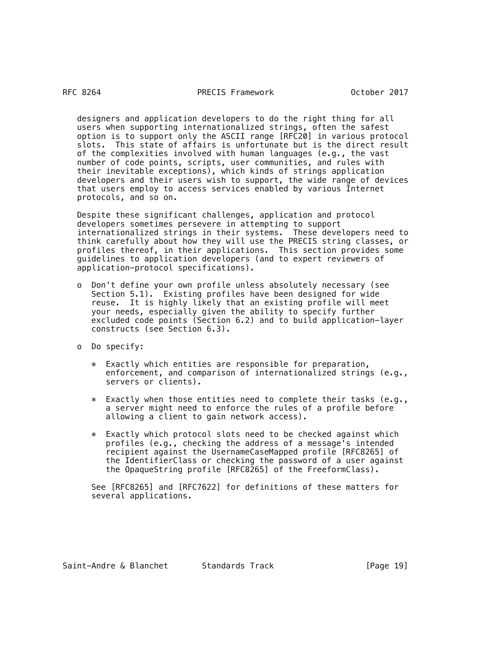designers and application developers to do the right thing for all users when supporting internationalized strings, often the safest option is to support only the ASCII range [RFC20] in various protocol slots. This state of affairs is unfortunate but is the direct result of the complexities involved with human languages (e.g., the vast number of code points, scripts, user communities, and rules with their inevitable exceptions), which kinds of strings application developers and their users wish to support, the wide range of devices that users employ to access services enabled by various Internet protocols, and so on.

 Despite these significant challenges, application and protocol developers sometimes persevere in attempting to support internationalized strings in their systems. These developers need to think carefully about how they will use the PRECIS string classes, or profiles thereof, in their applications. This section provides some guidelines to application developers (and to expert reviewers of application-protocol specifications).

- o Don't define your own profile unless absolutely necessary (see Section 5.1). Existing profiles have been designed for wide reuse. It is highly likely that an existing profile will meet your needs, especially given the ability to specify further excluded code points (Section 6.2) and to build application-layer constructs (see Section 6.3).
- o Do specify:
	- \* Exactly which entities are responsible for preparation, enforcement, and comparison of internationalized strings (e.g., servers or clients).
	- $*$  Exactly when those entities need to complete their tasks (e.g., a server might need to enforce the rules of a profile before allowing a client to gain network access).
	- \* Exactly which protocol slots need to be checked against which profiles (e.g., checking the address of a message's intended recipient against the UsernameCaseMapped profile [RFC8265] of the IdentifierClass or checking the password of a user against the OpaqueString profile [RFC8265] of the FreeformClass).

 See [RFC8265] and [RFC7622] for definitions of these matters for several applications.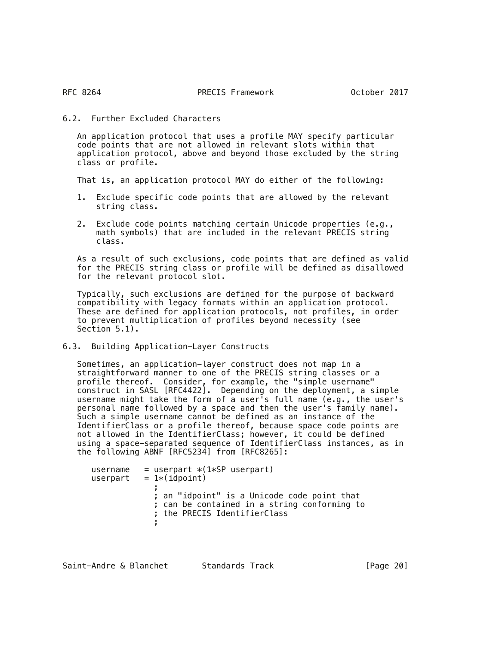# 6.2. Further Excluded Characters

 An application protocol that uses a profile MAY specify particular code points that are not allowed in relevant slots within that application protocol, above and beyond those excluded by the string class or profile.

That is, an application protocol MAY do either of the following:

- 1. Exclude specific code points that are allowed by the relevant string class.
- 2. Exclude code points matching certain Unicode properties (e.g., math symbols) that are included in the relevant PRECIS string class.

 As a result of such exclusions, code points that are defined as valid for the PRECIS string class or profile will be defined as disallowed for the relevant protocol slot.

 Typically, such exclusions are defined for the purpose of backward compatibility with legacy formats within an application protocol. These are defined for application protocols, not profiles, in order to prevent multiplication of profiles beyond necessity (see Section 5.1).

6.3. Building Application-Layer Constructs

 Sometimes, an application-layer construct does not map in a straightforward manner to one of the PRECIS string classes or a profile thereof. Consider, for example, the "simple username" construct in SASL [RFC4422]. Depending on the deployment, a simple username might take the form of a user's full name (e.g., the user's personal name followed by a space and then the user's family name). Such a simple username cannot be defined as an instance of the IdentifierClass or a profile thereof, because space code points are not allowed in the IdentifierClass; however, it could be defined using a space-separated sequence of IdentifierClass instances, as in the following ABNF [RFC5234] from [RFC8265]:

| username | $=$ userpart $*(1*SP$ userpart)                                                                                             |
|----------|-----------------------------------------------------------------------------------------------------------------------------|
| userpart | $= 1*(idpoint)$                                                                                                             |
|          | ; an "idpoint" is a Unicode code point that<br>; can be contained in a string conforming to<br>; the PRECIS IdentifierClass |

Saint-Andre & Blanchet Standards Track [Page 20]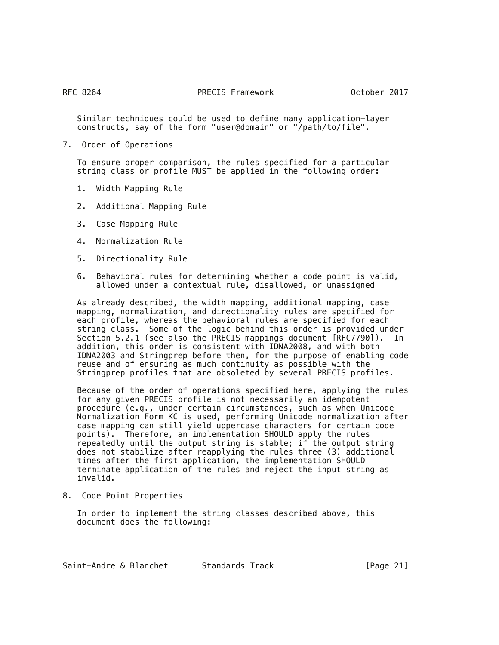Similar techniques could be used to define many application-layer constructs, say of the form "user@domain" or "/path/to/file".

7. Order of Operations

 To ensure proper comparison, the rules specified for a particular string class or profile MUST be applied in the following order:

- 1. Width Mapping Rule
- 2. Additional Mapping Rule
- 3. Case Mapping Rule
- 4. Normalization Rule
- 5. Directionality Rule
- 6. Behavioral rules for determining whether a code point is valid, allowed under a contextual rule, disallowed, or unassigned

 As already described, the width mapping, additional mapping, case mapping, normalization, and directionality rules are specified for each profile, whereas the behavioral rules are specified for each string class. Some of the logic behind this order is provided under Section 5.2.1 (see also the PRECIS mappings document [RFC7790]). In addition, this order is consistent with IDNA2008, and with both IDNA2003 and Stringprep before then, for the purpose of enabling code reuse and of ensuring as much continuity as possible with the Stringprep profiles that are obsoleted by several PRECIS profiles.

 Because of the order of operations specified here, applying the rules for any given PRECIS profile is not necessarily an idempotent procedure (e.g., under certain circumstances, such as when Unicode Normalization Form KC is used, performing Unicode normalization after case mapping can still yield uppercase characters for certain code points). Therefore, an implementation SHOULD apply the rules repeatedly until the output string is stable; if the output string does not stabilize after reapplying the rules three (3) additional times after the first application, the implementation SHOULD terminate application of the rules and reject the input string as invalid.

8. Code Point Properties

 In order to implement the string classes described above, this document does the following: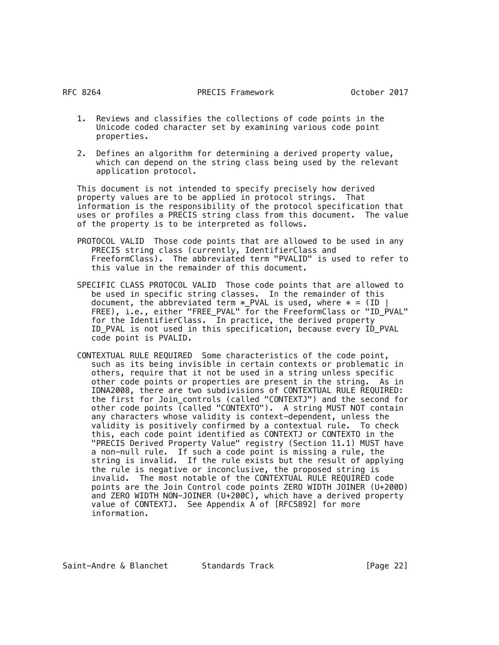- 1. Reviews and classifies the collections of code points in the Unicode coded character set by examining various code point properties.
- 2. Defines an algorithm for determining a derived property value, which can depend on the string class being used by the relevant application protocol.

 This document is not intended to specify precisely how derived property values are to be applied in protocol strings. That information is the responsibility of the protocol specification that uses or profiles a PRECIS string class from this document. The value of the property is to be interpreted as follows.

- PROTOCOL VALID Those code points that are allowed to be used in any PRECIS string class (currently, IdentifierClass and FreeformClass). The abbreviated term "PVALID" is used to refer to this value in the remainder of this document.
- SPECIFIC CLASS PROTOCOL VALID Those code points that are allowed to be used in specific string classes. In the remainder of this document, the abbreviated term  $*$  PVAL is used, where  $* = (ID \mid$ FREE), i.e., either "FREE\_PVAL" for the FreeformClass or "ID\_PVAL" for the IdentifierClass. In practice, the derived property ID\_PVAL is not used in this specification, because every ID\_PVAL code point is PVALID.
- CONTEXTUAL RULE REQUIRED Some characteristics of the code point, such as its being invisible in certain contexts or problematic in others, require that it not be used in a string unless specific other code points or properties are present in the string. As in IDNA2008, there are two subdivisions of CONTEXTUAL RULE REQUIRED: the first for Join\_controls (called "CONTEXTJ") and the second for other code points (called "CONTEXTO"). A string MUST NOT contain any characters whose validity is context-dependent, unless the validity is positively confirmed by a contextual rule. To check this, each code point identified as CONTEXTJ or CONTEXTO in the "PRECIS Derived Property Value" registry (Section 11.1) MUST have a non-null rule. If such a code point is missing a rule, the string is invalid. If the rule exists but the result of applying the rule is negative or inconclusive, the proposed string is invalid. The most notable of the CONTEXTUAL RULE REQUIRED code points are the Join Control code points ZERO WIDTH JOINER (U+200D) and ZERO WIDTH NON-JOINER (U+200C), which have a derived property value of CONTEXTJ. See Appendix A of [RFC5892] for more information.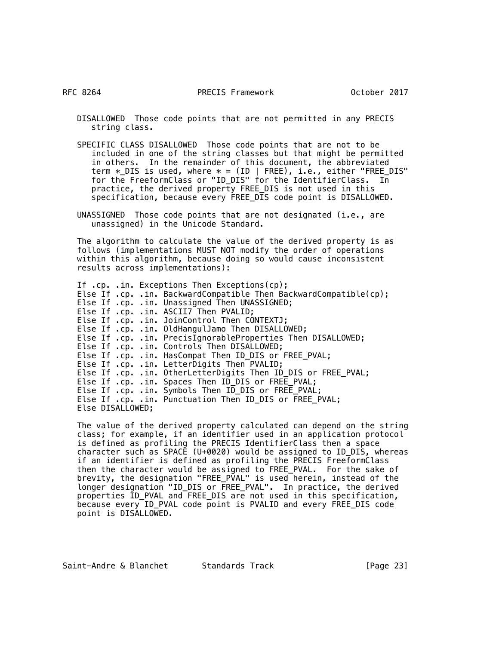RFC 8264

 DISALLOWED Those code points that are not permitted in any PRECIS string class.

 SPECIFIC CLASS DISALLOWED Those code points that are not to be included in one of the string classes but that might be permitted in others. In the remainder of this document, the abbreviated term  $\ast$ \_DIS is used, where  $\ast$  = (ID | FREE), i.e., either "FREE\_DIS" for the FreeformClass or "ID\_DIS" for the IdentifierClass. In practice, the derived property FREE\_DIS is not used in this specification, because every FREE\_DIS code point is DISALLOWED.

 UNASSIGNED Those code points that are not designated (i.e., are unassigned) in the Unicode Standard.

 The algorithm to calculate the value of the derived property is as follows (implementations MUST NOT modify the order of operations within this algorithm, because doing so would cause inconsistent results across implementations):

```
 If .cp. .in. Exceptions Then Exceptions(cp);
Else If .cp. .in. BackwardCompatible Then BackwardCompatible(cp);
Else If .cp. .in. Unassigned Then UNASSIGNED;
Else If .cp. .in. ASCII7 Then PVALID;
Else If .cp. .in. JoinControl Then CONTEXTJ;
Else If .cp. .in. OldHangulJamo Then DISALLOWED;
Else If .cp. .in. PrecisIgnorableProperties Then DISALLOWED;
Else If .cp. .in. Controls Then DISALLOWED;
Else If .cp. .in. HasCompat Then ID_DIS or FREE_PVAL;
Else If .cp. .in. LetterDigits Then PVALID;
Else If .cp. . in. OtherLetterDigits Then ID_DIS or FREE_PVAL;
Else If .cp. .in. Spaces Then ID_DIS or FREE_PVAL;
Else If .cp. .in. Symbols Then ID_DIS or FREE_PVAL;
Else If .cp. .in. Punctuation Then ID_DIS or FREE_PVAL;
Else DISALLOWED;
```
 The value of the derived property calculated can depend on the string class; for example, if an identifier used in an application protocol is defined as profiling the PRECIS IdentifierClass then a space character such as SPACE (U+0020) would be assigned to ID\_DIS, whereas if an identifier is defined as profiling the PRECIS FreeformClass then the character would be assigned to FREE\_PVAL. For the sake of brevity, the designation "FREE\_PVAL" is used herein, instead of the longer designation "ID\_DIS or FREE\_PVAL". In practice, the derived properties ID\_PVAL and FREE\_DIS are not used in this specification, because every ID\_PVAL code point is PVALID and every FREE\_DIS code point is DISALLOWED.

Saint-Andre & Blanchet Standards Track [Page 23]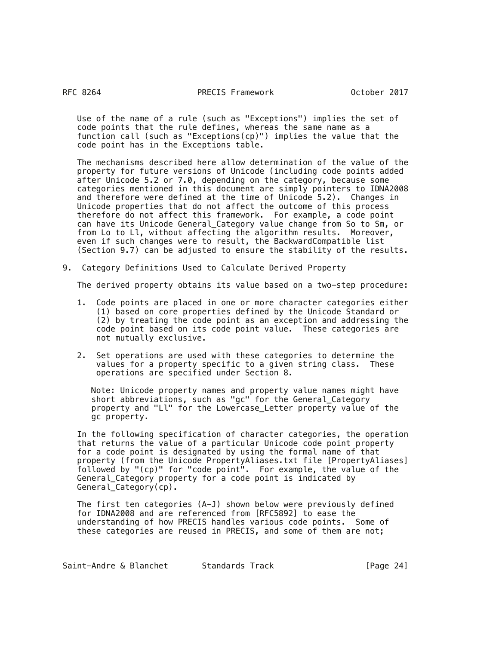Use of the name of a rule (such as "Exceptions") implies the set of code points that the rule defines, whereas the same name as a function call (such as "Exceptions(cp)") implies the value that the code point has in the Exceptions table.

 The mechanisms described here allow determination of the value of the property for future versions of Unicode (including code points added after Unicode 5.2 or 7.0, depending on the category, because some categories mentioned in this document are simply pointers to IDNA2008 and therefore were defined at the time of Unicode 5.2). Changes in Unicode properties that do not affect the outcome of this process therefore do not affect this framework. For example, a code point can have its Unicode General\_Category value change from So to Sm, or from Lo to Ll, without affecting the algorithm results. Moreover, even if such changes were to result, the BackwardCompatible list (Section 9.7) can be adjusted to ensure the stability of the results.

9. Category Definitions Used to Calculate Derived Property

The derived property obtains its value based on a two-step procedure:

- 1. Code points are placed in one or more character categories either (1) based on core properties defined by the Unicode Standard or (2) by treating the code point as an exception and addressing the code point based on its code point value. These categories are not mutually exclusive.
- 2. Set operations are used with these categories to determine the values for a property specific to a given string class. These operations are specified under Section 8.

 Note: Unicode property names and property value names might have short abbreviations, such as "gc" for the General\_Category property and "Ll" for the Lowercase\_Letter property value of the gc property.

 In the following specification of character categories, the operation that returns the value of a particular Unicode code point property for a code point is designated by using the formal name of that property (from the Unicode PropertyAliases.txt file [PropertyAliases] followed by "(cp)" for "code point". For example, the value of the General\_Category property for a code point is indicated by General\_Category(cp).

 The first ten categories (A-J) shown below were previously defined for IDNA2008 and are referenced from [RFC5892] to ease the understanding of how PRECIS handles various code points. Some of these categories are reused in PRECIS, and some of them are not;

Saint-Andre & Blanchet Standards Track [Page 24]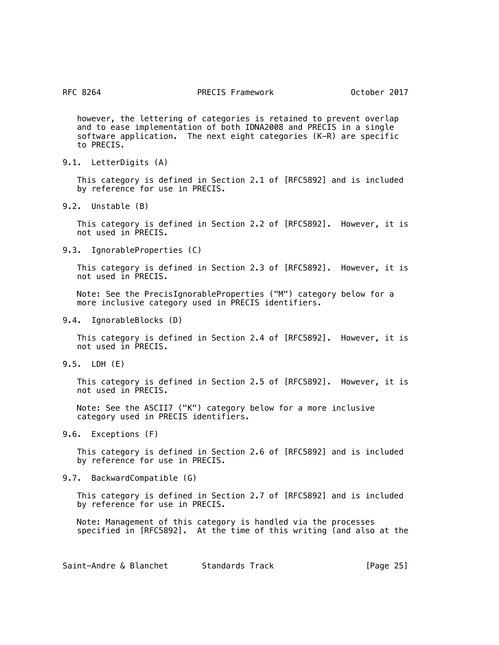however, the lettering of categories is retained to prevent overlap and to ease implementation of both IDNA2008 and PRECIS in a single software application. The next eight categories (K-R) are specific to PRECIS.

9.1. LetterDigits (A)

 This category is defined in Section 2.1 of [RFC5892] and is included by reference for use in PRECIS.

9.2. Unstable (B)

 This category is defined in Section 2.2 of [RFC5892]. However, it is not used in PRECIS.

9.3. IgnorableProperties (C)

 This category is defined in Section 2.3 of [RFC5892]. However, it is not used in PRECIS.

 Note: See the PrecisIgnorableProperties ("M") category below for a more inclusive category used in PRECIS identifiers.

9.4. IgnorableBlocks (D)

 This category is defined in Section 2.4 of [RFC5892]. However, it is not used in PRECIS.

9.5. LDH (E)

 This category is defined in Section 2.5 of [RFC5892]. However, it is not used in PRECIS.

 Note: See the ASCII7 ("K") category below for a more inclusive category used in PRECIS identifiers.

9.6. Exceptions (F)

 This category is defined in Section 2.6 of [RFC5892] and is included by reference for use in PRECIS.

9.7. BackwardCompatible (G)

 This category is defined in Section 2.7 of [RFC5892] and is included by reference for use in PRECIS.

 Note: Management of this category is handled via the processes specified in [RFC5892]. At the time of this writing (and also at the

Saint-Andre & Blanchet Standards Track [Page 25]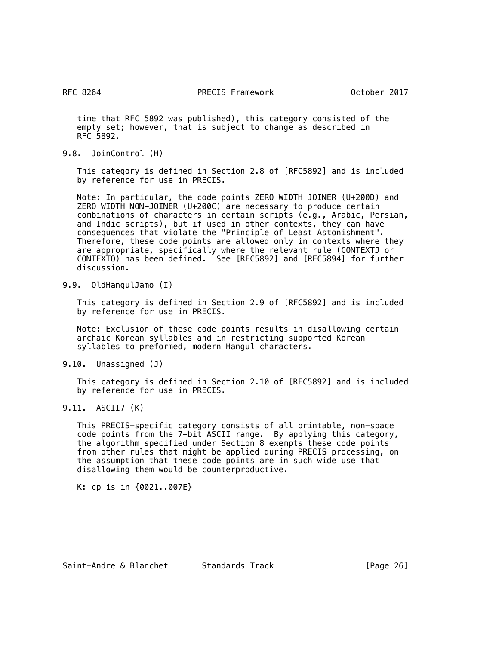time that RFC 5892 was published), this category consisted of the empty set; however, that is subject to change as described in RFC 5892.

9.8. JoinControl (H)

 This category is defined in Section 2.8 of [RFC5892] and is included by reference for use in PRECIS.

 Note: In particular, the code points ZERO WIDTH JOINER (U+200D) and ZERO WIDTH NON-JOINER (U+200C) are necessary to produce certain combinations of characters in certain scripts (e.g., Arabic, Persian, and Indic scripts), but if used in other contexts, they can have consequences that violate the "Principle of Least Astonishment". Therefore, these code points are allowed only in contexts where they are appropriate, specifically where the relevant rule (CONTEXTJ or CONTEXTO) has been defined. See [RFC5892] and [RFC5894] for further discussion.

9.9. OldHangulJamo (I)

 This category is defined in Section 2.9 of [RFC5892] and is included by reference for use in PRECIS.

 Note: Exclusion of these code points results in disallowing certain archaic Korean syllables and in restricting supported Korean syllables to preformed, modern Hangul characters.

9.10. Unassigned (J)

 This category is defined in Section 2.10 of [RFC5892] and is included by reference for use in PRECIS.

9.11. ASCII7 (K)

 This PRECIS-specific category consists of all printable, non-space code points from the 7-bit ASCII range. By applying this category, the algorithm specified under Section 8 exempts these code points from other rules that might be applied during PRECIS processing, on the assumption that these code points are in such wide use that disallowing them would be counterproductive.

K: cp is in {0021..007E}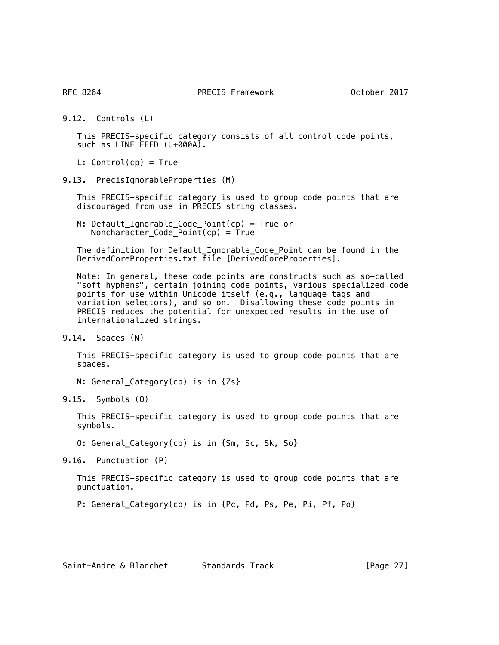9.12. Controls (L)

 This PRECIS-specific category consists of all control code points, such as LINE FEED (U+000A).

L:  $Control(op) = True$ 

9.13. PrecisIgnorableProperties (M)

 This PRECIS-specific category is used to group code points that are discouraged from use in PRECIS string classes.

 M: Default\_Ignorable\_Code\_Point(cp) = True or  $Noncharacter\_Code\_Point(cp) = True$ 

 The definition for Default\_Ignorable\_Code\_Point can be found in the DerivedCoreProperties.txt file [DerivedCoreProperties].

 Note: In general, these code points are constructs such as so-called "soft hyphens", certain joining code points, various specialized code points for use within Unicode itself (e.g., language tags and variation selectors), and so on. Disallowing these code points in PRECIS reduces the potential for unexpected results in the use of internationalized strings.

9.14. Spaces (N)

 This PRECIS-specific category is used to group code points that are spaces.

N: General\_Category(cp) is in {Zs}

9.15. Symbols (O)

 This PRECIS-specific category is used to group code points that are symbols.

O: General\_Category(cp) is in {Sm, Sc, Sk, So}

9.16. Punctuation (P)

 This PRECIS-specific category is used to group code points that are punctuation.

P: General\_Category(cp) is in {Pc, Pd, Ps, Pe, Pi, Pf, Po}

Saint-Andre & Blanchet Standards Track [Page 27]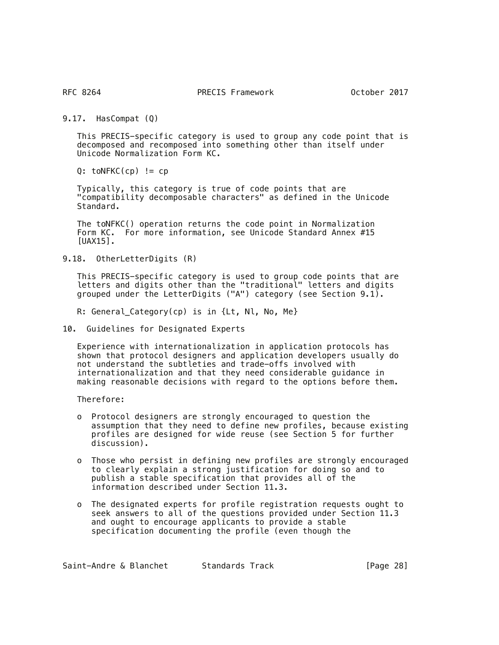9.17. HasCompat (Q)

 This PRECIS-specific category is used to group any code point that is decomposed and recomposed into something other than itself under Unicode Normalization Form KC.

 $Q: \text{toNFKC}(\text{cp}) \text{ != } \text{cp}$ 

 Typically, this category is true of code points that are "compatibility decomposable characters" as defined in the Unicode Standard.

 The toNFKC() operation returns the code point in Normalization Form KC. For more information, see Unicode Standard Annex #15 [UAX15].

9.18. OtherLetterDigits (R)

 This PRECIS-specific category is used to group code points that are letters and digits other than the "traditional" letters and digits grouped under the LetterDigits ("A") category (see Section 9.1).

R: General\_Category(cp) is in {Lt, Nl, No, Me}

10. Guidelines for Designated Experts

 Experience with internationalization in application protocols has shown that protocol designers and application developers usually do not understand the subtleties and trade-offs involved with internationalization and that they need considerable guidance in making reasonable decisions with regard to the options before them.

Therefore:

- o Protocol designers are strongly encouraged to question the assumption that they need to define new profiles, because existing profiles are designed for wide reuse (see Section 5 for further discussion).
- o Those who persist in defining new profiles are strongly encouraged to clearly explain a strong justification for doing so and to publish a stable specification that provides all of the information described under Section 11.3.
- o The designated experts for profile registration requests ought to seek answers to all of the questions provided under Section 11.3 and ought to encourage applicants to provide a stable specification documenting the profile (even though the

Saint-Andre & Blanchet Standards Track [Page 28]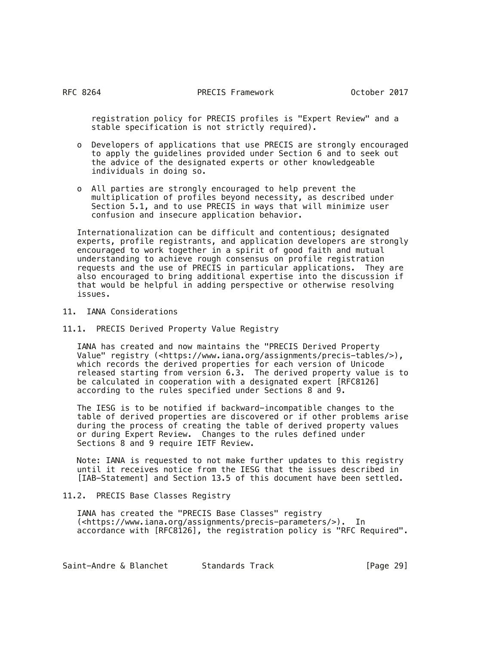registration policy for PRECIS profiles is "Expert Review" and a stable specification is not strictly required).

- o Developers of applications that use PRECIS are strongly encouraged to apply the guidelines provided under Section 6 and to seek out the advice of the designated experts or other knowledgeable individuals in doing so.
- o All parties are strongly encouraged to help prevent the multiplication of profiles beyond necessity, as described under Section 5.1, and to use PRECIS in ways that will minimize user confusion and insecure application behavior.

 Internationalization can be difficult and contentious; designated experts, profile registrants, and application developers are strongly encouraged to work together in a spirit of good faith and mutual understanding to achieve rough consensus on profile registration requests and the use of PRECIS in particular applications. They are also encouraged to bring additional expertise into the discussion if that would be helpful in adding perspective or otherwise resolving issues.

- 11. IANA Considerations
- 11.1. PRECIS Derived Property Value Registry

 IANA has created and now maintains the "PRECIS Derived Property Value" registry (<https://www.iana.org/assignments/precis-tables/>), which records the derived properties for each version of Unicode released starting from version 6.3. The derived property value is to be calculated in cooperation with a designated expert [RFC8126] according to the rules specified under Sections 8 and 9.

 The IESG is to be notified if backward-incompatible changes to the table of derived properties are discovered or if other problems arise during the process of creating the table of derived property values or during Expert Review. Changes to the rules defined under Sections 8 and 9 require IETF Review.

 Note: IANA is requested to not make further updates to this registry until it receives notice from the IESG that the issues described in [IAB-Statement] and Section 13.5 of this document have been settled.

# 11.2. PRECIS Base Classes Registry

 IANA has created the "PRECIS Base Classes" registry (<https://www.iana.org/assignments/precis-parameters/>). In accordance with [RFC8126], the registration policy is "RFC Required".

Saint-Andre & Blanchet Standards Track [Page 29]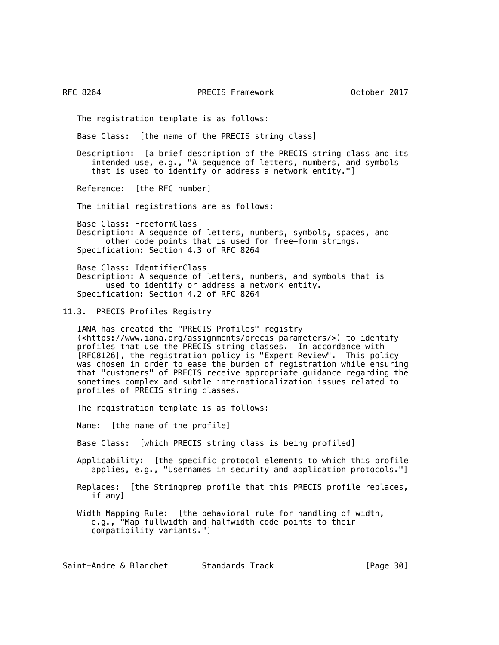The registration template is as follows:

Base Class: [the name of the PRECIS string class]

 Description: [a brief description of the PRECIS string class and its intended use, e.g., "A sequence of letters, numbers, and symbols that is used to identify or address a network entity."]

Reference: [the RFC number]

The initial registrations are as follows:

 Base Class: FreeformClass Description: A sequence of letters, numbers, symbols, spaces, and other code points that is used for free-form strings. Specification: Section 4.3 of RFC 8264

 Base Class: IdentifierClass Description: A sequence of letters, numbers, and symbols that is used to identify or address a network entity. Specification: Section 4.2 of RFC 8264

11.3. PRECIS Profiles Registry

 IANA has created the "PRECIS Profiles" registry (<https://www.iana.org/assignments/precis-parameters/>) to identify profiles that use the PRECIS string classes. In accordance with [RFC8126], the registration policy is "Expert Review". This policy was chosen in order to ease the burden of registration while ensuring that "customers" of PRECIS receive appropriate guidance regarding the sometimes complex and subtle internationalization issues related to profiles of PRECIS string classes.

The registration template is as follows:

Name: [the name of the profile]

Base Class: [which PRECIS string class is being profiled]

 Applicability: [the specific protocol elements to which this profile applies, e.g., "Usernames in security and application protocols."]

 Replaces: [the Stringprep profile that this PRECIS profile replaces, if any]

 Width Mapping Rule: [the behavioral rule for handling of width, e.g., "Map fullwidth and halfwidth code points to their compatibility variants."]

Saint-Andre & Blanchet Standards Track [Page 30]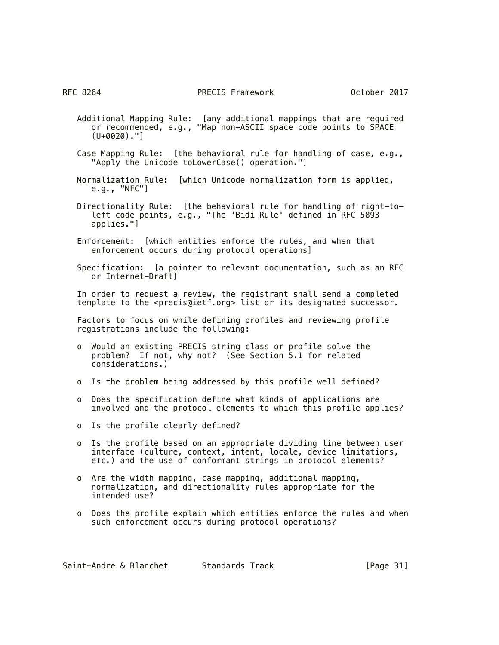- Additional Mapping Rule: [any additional mappings that are required or recommended, e.g., "Map non-ASCII space code points to SPACE  $(U+0020)$ ."]
- Case Mapping Rule: [the behavioral rule for handling of case, e.g., "Apply the Unicode toLowerCase() operation."]
- Normalization Rule: [which Unicode normalization form is applied, e.g., "NFC"]
- Directionality Rule: [the behavioral rule for handling of right-toleft code points, e.g., "The 'Bidi Rule' defined in RFC 5893 applies."]
- Enforcement: [which entities enforce the rules, and when that enforcement occurs during protocol operations]
- Specification: [a pointer to relevant documentation, such as an RFC or Internet-Draft]

 In order to request a review, the registrant shall send a completed template to the <precis@ietf.org> list or its designated successor.

 Factors to focus on while defining profiles and reviewing profile registrations include the following:

- o Would an existing PRECIS string class or profile solve the problem? If not, why not? (See Section 5.1 for related considerations.)
- o Is the problem being addressed by this profile well defined?
- o Does the specification define what kinds of applications are involved and the protocol elements to which this profile applies?
- o Is the profile clearly defined?
- o Is the profile based on an appropriate dividing line between user interface (culture, context, intent, locale, device limitations, etc.) and the use of conformant strings in protocol elements?
- o Are the width mapping, case mapping, additional mapping, normalization, and directionality rules appropriate for the intended use?
- o Does the profile explain which entities enforce the rules and when such enforcement occurs during protocol operations?

| Saint-Andre & Blanchet | Standards Track | [Page 31] |
|------------------------|-----------------|-----------|
|------------------------|-----------------|-----------|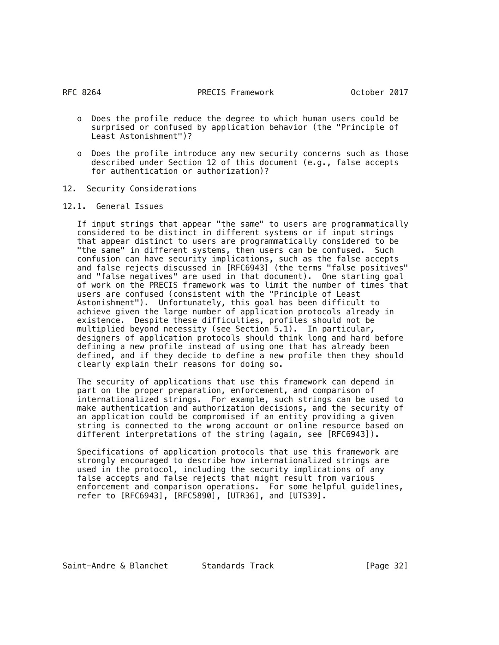- o Does the profile reduce the degree to which human users could be surprised or confused by application behavior (the "Principle of Least Astonishment")?
- o Does the profile introduce any new security concerns such as those described under Section 12 of this document (e.g., false accepts for authentication or authorization)?
- 12. Security Considerations
- 12.1. General Issues

 If input strings that appear "the same" to users are programmatically considered to be distinct in different systems or if input strings that appear distinct to users are programmatically considered to be "the same" in different systems, then users can be confused. Such confusion can have security implications, such as the false accepts and false rejects discussed in [RFC6943] (the terms "false positives" and "false negatives" are used in that document). One starting goal of work on the PRECIS framework was to limit the number of times that users are confused (consistent with the "Principle of Least Astonishment"). Unfortunately, this goal has been difficult to achieve given the large number of application protocols already in existence. Despite these difficulties, profiles should not be multiplied beyond necessity (see Section 5.1). In particular, designers of application protocols should think long and hard before defining a new profile instead of using one that has already been defined, and if they decide to define a new profile then they should clearly explain their reasons for doing so.

 The security of applications that use this framework can depend in part on the proper preparation, enforcement, and comparison of internationalized strings. For example, such strings can be used to make authentication and authorization decisions, and the security of an application could be compromised if an entity providing a given string is connected to the wrong account or online resource based on different interpretations of the string (again, see [RFC6943]).

 Specifications of application protocols that use this framework are strongly encouraged to describe how internationalized strings are used in the protocol, including the security implications of any false accepts and false rejects that might result from various enforcement and comparison operations. For some helpful guidelines, refer to [RFC6943], [RFC5890], [UTR36], and [UTS39].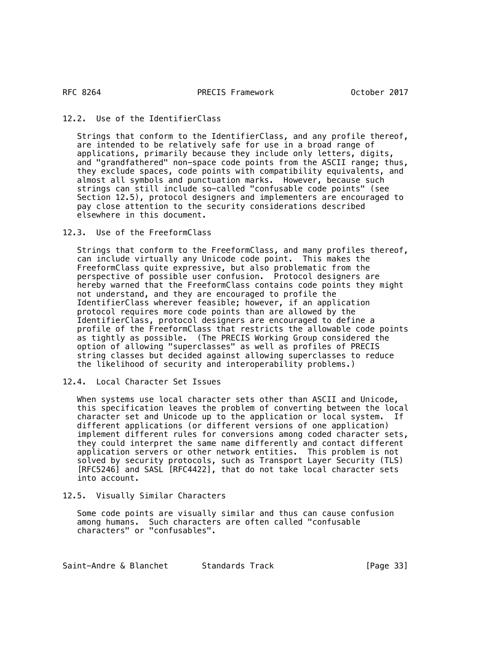RFC 8264

# 12.2. Use of the IdentifierClass

 Strings that conform to the IdentifierClass, and any profile thereof, are intended to be relatively safe for use in a broad range of applications, primarily because they include only letters, digits, and "grandfathered" non-space code points from the ASCII range; thus, they exclude spaces, code points with compatibility equivalents, and almost all symbols and punctuation marks. However, because such strings can still include so-called "confusable code points" (see Section 12.5), protocol designers and implementers are encouraged to pay close attention to the security considerations described elsewhere in this document.

# 12.3. Use of the FreeformClass

 Strings that conform to the FreeformClass, and many profiles thereof, can include virtually any Unicode code point. This makes the FreeformClass quite expressive, but also problematic from the perspective of possible user confusion. Protocol designers are hereby warned that the FreeformClass contains code points they might not understand, and they are encouraged to profile the IdentifierClass wherever feasible; however, if an application protocol requires more code points than are allowed by the IdentifierClass, protocol designers are encouraged to define a profile of the FreeformClass that restricts the allowable code points as tightly as possible. (The PRECIS Working Group considered the option of allowing "superclasses" as well as profiles of PRECIS string classes but decided against allowing superclasses to reduce the likelihood of security and interoperability problems.)

# 12.4. Local Character Set Issues

 When systems use local character sets other than ASCII and Unicode, this specification leaves the problem of converting between the local character set and Unicode up to the application or local system. If different applications (or different versions of one application) implement different rules for conversions among coded character sets, they could interpret the same name differently and contact different application servers or other network entities. This problem is not solved by security protocols, such as Transport Layer Security (TLS) [RFC5246] and SASL [RFC4422], that do not take local character sets into account.

# 12.5. Visually Similar Characters

 Some code points are visually similar and thus can cause confusion among humans. Such characters are often called "confusable characters" or "confusables".

Saint-Andre & Blanchet Standards Track [Page 33]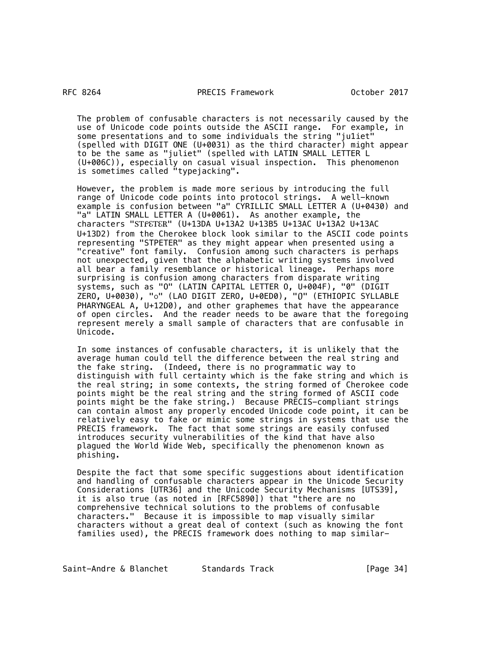The problem of confusable characters is not necessarily caused by the use of Unicode code points outside the ASCII range. For example, in some presentations and to some individuals the string "ju1iet" (spelled with DIGIT ONE (U+0031) as the third character) might appear to be the same as "juliet" (spelled with LATIN SMALL LETTER L (U+006C)), especially on casual visual inspection. This phenomenon is sometimes called "typejacking".

 However, the problem is made more serious by introducing the full range of Unicode code points into protocol strings. A well-known example is confusion between "а" CYRILLIC SMALL LETTER A (U+0430) and "a" LATIN SMALL LETTER A (U+0061). As another example, the characters "ᏚᎢᎵᏋᎢᏋᏒ" (U+13DA U+13A2 U+13B5 U+13AC U+13A2 U+13AC U+13D2) from the Cherokee block look similar to the ASCII code points representing "STPETER" as they might appear when presented using a "creative" font family. Confusion among such characters is perhaps not unexpected, given that the alphabetic writing systems involved all bear a family resemblance or historical lineage. Perhaps more surprising is confusion among characters from disparate writing systems, such as "O" (LATIN CAPITAL LETTER O, U+004F), "0" (DIGIT ZERO, U+0030), "໐" (LAO DIGIT ZERO, U+0ED0), "ዐ" (ETHIOPIC SYLLABLE PHARYNGEAL A, U+12D0), and other graphemes that have the appearance of open circles. And the reader needs to be aware that the foregoing represent merely a small sample of characters that are confusable in Unicode.

 In some instances of confusable characters, it is unlikely that the average human could tell the difference between the real string and the fake string. (Indeed, there is no programmatic way to distinguish with full certainty which is the fake string and which is the real string; in some contexts, the string formed of Cherokee code points might be the real string and the string formed of ASCII code points might be the fake string.) Because PRECIS-compliant strings can contain almost any properly encoded Unicode code point, it can be relatively easy to fake or mimic some strings in systems that use the PRECIS framework. The fact that some strings are easily confused introduces security vulnerabilities of the kind that have also plagued the World Wide Web, specifically the phenomenon known as phishing.

 Despite the fact that some specific suggestions about identification and handling of confusable characters appear in the Unicode Security Considerations [UTR36] and the Unicode Security Mechanisms [UTS39], it is also true (as noted in [RFC5890]) that "there are no comprehensive technical solutions to the problems of confusable characters." Because it is impossible to map visually similar characters without a great deal of context (such as knowing the font families used), the PRECIS framework does nothing to map similar-

Saint-Andre & Blanchet Standards Track [Page 34]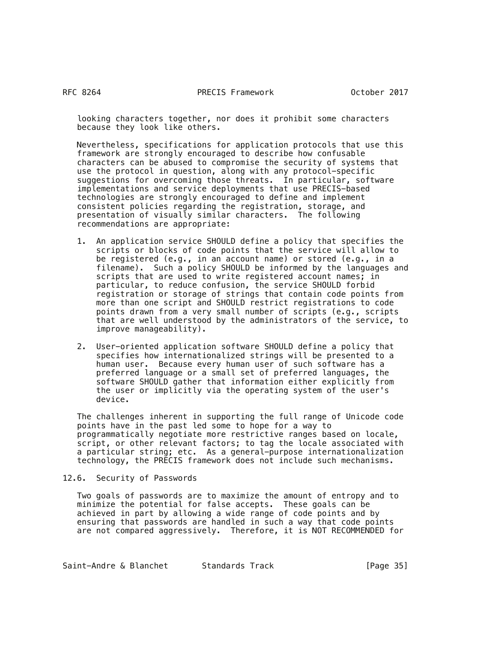looking characters together, nor does it prohibit some characters because they look like others.

 Nevertheless, specifications for application protocols that use this framework are strongly encouraged to describe how confusable characters can be abused to compromise the security of systems that use the protocol in question, along with any protocol-specific suggestions for overcoming those threats. In particular, software implementations and service deployments that use PRECIS-based technologies are strongly encouraged to define and implement consistent policies regarding the registration, storage, and presentation of visually similar characters. The following recommendations are appropriate:

- 1. An application service SHOULD define a policy that specifies the scripts or blocks of code points that the service will allow to be registered (e.g., in an account name) or stored (e.g., in a filename). Such a policy SHOULD be informed by the languages and scripts that are used to write registered account names; in particular, to reduce confusion, the service SHOULD forbid registration or storage of strings that contain code points from more than one script and SHOULD restrict registrations to code points drawn from a very small number of scripts (e.g., scripts that are well understood by the administrators of the service, to improve manageability).
- 2. User-oriented application software SHOULD define a policy that specifies how internationalized strings will be presented to a human user. Because every human user of such software has a preferred language or a small set of preferred languages, the software SHOULD gather that information either explicitly from the user or implicitly via the operating system of the user's device.

 The challenges inherent in supporting the full range of Unicode code points have in the past led some to hope for a way to programmatically negotiate more restrictive ranges based on locale, script, or other relevant factors; to tag the locale associated with a particular string; etc. As a general-purpose internationalization technology, the PRECIS framework does not include such mechanisms.

12.6. Security of Passwords

 Two goals of passwords are to maximize the amount of entropy and to minimize the potential for false accepts. These goals can be achieved in part by allowing a wide range of code points and by ensuring that passwords are handled in such a way that code points are not compared aggressively. Therefore, it is NOT RECOMMENDED for

Saint-Andre & Blanchet Standards Track [Page 35]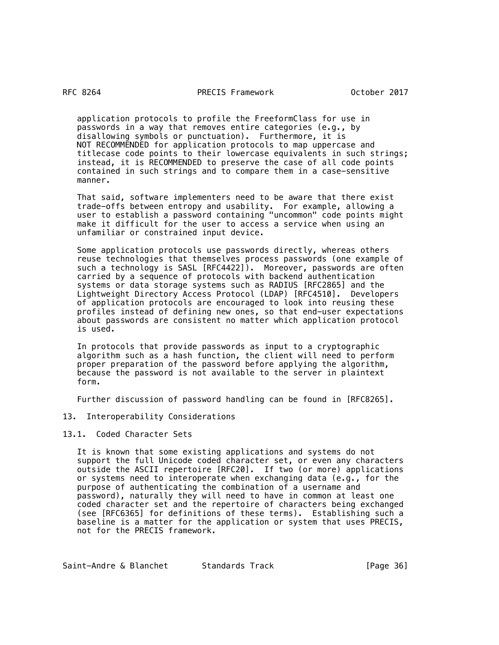application protocols to profile the FreeformClass for use in passwords in a way that removes entire categories (e.g., by disallowing symbols or punctuation). Furthermore, it is NOT RECOMMENDED for application protocols to map uppercase and titlecase code points to their lowercase equivalents in such strings; instead, it is RECOMMENDED to preserve the case of all code points contained in such strings and to compare them in a case-sensitive manner.

 That said, software implementers need to be aware that there exist trade-offs between entropy and usability. For example, allowing a user to establish a password containing "uncommon" code points might make it difficult for the user to access a service when using an unfamiliar or constrained input device.

 Some application protocols use passwords directly, whereas others reuse technologies that themselves process passwords (one example of such a technology is SASL [RFC4422]). Moreover, passwords are often carried by a sequence of protocols with backend authentication systems or data storage systems such as RADIUS [RFC2865] and the Lightweight Directory Access Protocol (LDAP) [RFC4510]. Developers of application protocols are encouraged to look into reusing these profiles instead of defining new ones, so that end-user expectations about passwords are consistent no matter which application protocol is used.

 In protocols that provide passwords as input to a cryptographic algorithm such as a hash function, the client will need to perform proper preparation of the password before applying the algorithm, because the password is not available to the server in plaintext form.

Further discussion of password handling can be found in [RFC8265].

- 13. Interoperability Considerations
- 13.1. Coded Character Sets

 It is known that some existing applications and systems do not support the full Unicode coded character set, or even any characters outside the ASCII repertoire [RFC20]. If two (or more) applications or systems need to interoperate when exchanging data (e.g., for the purpose of authenticating the combination of a username and password), naturally they will need to have in common at least one coded character set and the repertoire of characters being exchanged (see [RFC6365] for definitions of these terms). Establishing such a baseline is a matter for the application or system that uses PRECIS, not for the PRECIS framework.

Saint-Andre & Blanchet Standards Track [Page 36]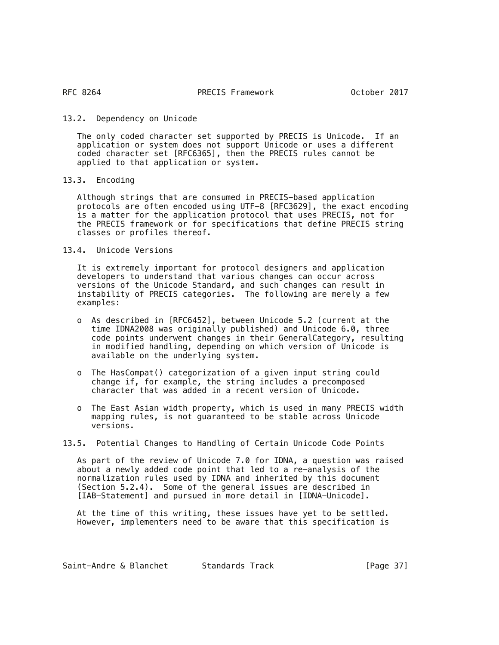## 13.2. Dependency on Unicode

 The only coded character set supported by PRECIS is Unicode. If an application or system does not support Unicode or uses a different coded character set [RFC6365], then the PRECIS rules cannot be applied to that application or system.

13.3. Encoding

 Although strings that are consumed in PRECIS-based application protocols are often encoded using UTF-8 [RFC3629], the exact encoding is a matter for the application protocol that uses PRECIS, not for the PRECIS framework or for specifications that define PRECIS string classes or profiles thereof.

13.4. Unicode Versions

 It is extremely important for protocol designers and application developers to understand that various changes can occur across versions of the Unicode Standard, and such changes can result in instability of PRECIS categories. The following are merely a few examples:

- o As described in [RFC6452], between Unicode 5.2 (current at the time IDNA2008 was originally published) and Unicode 6.0, three code points underwent changes in their GeneralCategory, resulting in modified handling, depending on which version of Unicode is available on the underlying system.
- o The HasCompat() categorization of a given input string could change if, for example, the string includes a precomposed character that was added in a recent version of Unicode.
- o The East Asian width property, which is used in many PRECIS width mapping rules, is not guaranteed to be stable across Unicode versions.
- 13.5. Potential Changes to Handling of Certain Unicode Code Points

 As part of the review of Unicode 7.0 for IDNA, a question was raised about a newly added code point that led to a re-analysis of the normalization rules used by IDNA and inherited by this document (Section 5.2.4). Some of the general issues are described in [IAB-Statement] and pursued in more detail in [IDNA-Unicode].

 At the time of this writing, these issues have yet to be settled. However, implementers need to be aware that this specification is

| Saint-Andre & Blanchet | Standards Track | [Page 37] |
|------------------------|-----------------|-----------|
|------------------------|-----------------|-----------|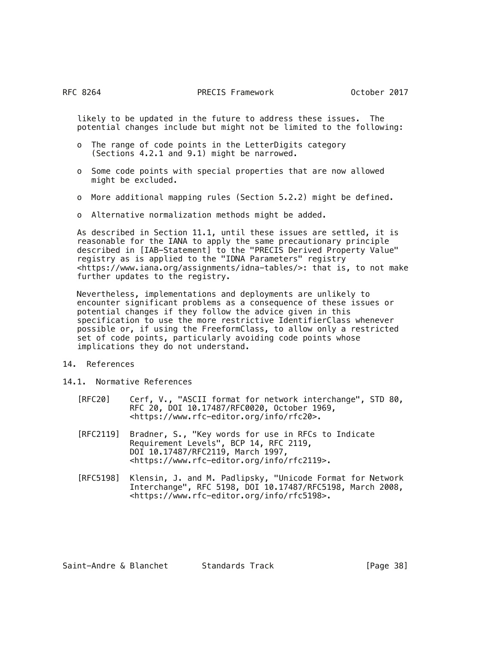likely to be updated in the future to address these issues. The potential changes include but might not be limited to the following:

- o The range of code points in the LetterDigits category (Sections 4.2.1 and 9.1) might be narrowed.
- o Some code points with special properties that are now allowed might be excluded.
- o More additional mapping rules (Section 5.2.2) might be defined.
- o Alternative normalization methods might be added.

 As described in Section 11.1, until these issues are settled, it is reasonable for the IANA to apply the same precautionary principle described in [IAB-Statement] to the "PRECIS Derived Property Value" registry as is applied to the "IDNA Parameters" registry <https://www.iana.org/assignments/idna-tables/>: that is, to not make further updates to the registry.

 Nevertheless, implementations and deployments are unlikely to encounter significant problems as a consequence of these issues or potential changes if they follow the advice given in this specification to use the more restrictive IdentifierClass whenever possible or, if using the FreeformClass, to allow only a restricted set of code points, particularly avoiding code points whose implications they do not understand.

- 14. References
- 14.1. Normative References
	- [RFC20] Cerf, V., "ASCII format for network interchange", STD 80, RFC 20, DOI 10.17487/RFC0020, October 1969, <https://www.rfc-editor.org/info/rfc20>.
	- [RFC2119] Bradner, S., "Key words for use in RFCs to Indicate Requirement Levels", BCP 14, RFC 2119, DOI 10.17487/RFC2119, March 1997, <https://www.rfc-editor.org/info/rfc2119>.
	- [RFC5198] Klensin, J. and M. Padlipsky, "Unicode Format for Network Interchange", RFC 5198, DOI 10.17487/RFC5198, March 2008, <https://www.rfc-editor.org/info/rfc5198>.

| Saint-Andre & Blanchet | Standards Track | [Page 38] |
|------------------------|-----------------|-----------|
|------------------------|-----------------|-----------|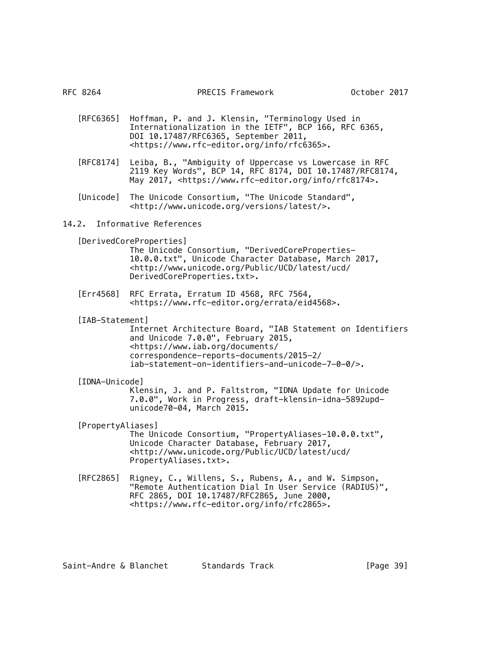- [RFC6365] Hoffman, P. and J. Klensin, "Terminology Used in Internationalization in the IETF", BCP 166, RFC 6365, DOI 10.17487/RFC6365, September 2011, <https://www.rfc-editor.org/info/rfc6365>.
- [RFC8174] Leiba, B., "Ambiguity of Uppercase vs Lowercase in RFC 2119 Key Words", BCP 14, RFC 8174, DOI 10.17487/RFC8174, May 2017, <https://www.rfc-editor.org/info/rfc8174>.
	- [Unicode] The Unicode Consortium, "The Unicode Standard", <http://www.unicode.org/versions/latest/>.

# 14.2. Informative References

[DerivedCoreProperties]

The Unicode Consortium, "DerivedCoreProperties-10.0.0.txt", Unicode Character Database, March 2017, <http://www.unicode.org/Public/UCD/latest/ucd/ DerivedCoreProperties.txt>.

- [Err4568] RFC Errata, Erratum ID 4568, RFC 7564, <https://www.rfc-editor.org/errata/eid4568>.
- [IAB-Statement]

Internet Architecture Board, "IAB Statement on Identifiers and Unicode 7.0.0", February 2015, <https://www.iab.org/documents/ correspondence-reports-documents/2015-2/ iab-statement-on-identifiers-and-unicode-7-0-0/>.

# [IDNA-Unicode]

Klensin, J. and P. Faltstrom, "IDNA Update for Unicode 7.0.0", Work in Progress, draft-klensin-idna-5892updunicode70-04, March 2015.

[PropertyAliases]

The Unicode Consortium, "PropertyAliases-10.0.0.txt", Unicode Character Database, February 2017, <http://www.unicode.org/Public/UCD/latest/ucd/ PropertyAliases.txt>.

 [RFC2865] Rigney, C., Willens, S., Rubens, A., and W. Simpson, "Remote Authentication Dial In User Service (RADIUS)", RFC 2865, DOI 10.17487/RFC2865, June 2000, <https://www.rfc-editor.org/info/rfc2865>.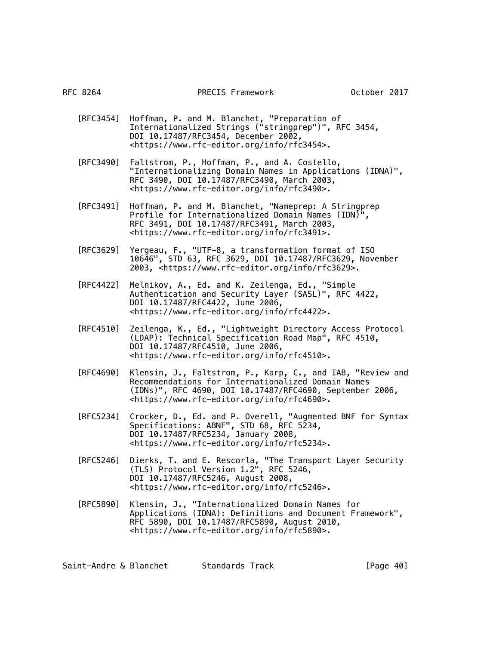- [RFC3454] Hoffman, P. and M. Blanchet, "Preparation of Internationalized Strings ("stringprep")", RFC 3454, DOI 10.17487/RFC3454, December 2002, <https://www.rfc-editor.org/info/rfc3454>.
- [RFC3490] Faltstrom, P., Hoffman, P., and A. Costello, "Internationalizing Domain Names in Applications (IDNA)", RFC 3490, DOI 10.17487/RFC3490, March 2003, <https://www.rfc-editor.org/info/rfc3490>.
- [RFC3491] Hoffman, P. and M. Blanchet, "Nameprep: A Stringprep Profile for Internationalized Domain Names (IDN)", RFC 3491, DOI 10.17487/RFC3491, March 2003, <https://www.rfc-editor.org/info/rfc3491>.
	- [RFC3629] Yergeau, F., "UTF-8, a transformation format of ISO 10646", STD 63, RFC 3629, DOI 10.17487/RFC3629, November 2003, <https://www.rfc-editor.org/info/rfc3629>.
	- [RFC4422] Melnikov, A., Ed. and K. Zeilenga, Ed., "Simple Authentication and Security Layer (SASL)", RFC 4422, DOI 10.17487/RFC4422, June 2006, <https://www.rfc-editor.org/info/rfc4422>.
	- [RFC4510] Zeilenga, K., Ed., "Lightweight Directory Access Protocol (LDAP): Technical Specification Road Map", RFC 4510, DOI 10.17487/RFC4510, June 2006, <https://www.rfc-editor.org/info/rfc4510>.
	- [RFC4690] Klensin, J., Faltstrom, P., Karp, C., and IAB, "Review and Recommendations for Internationalized Domain Names (IDNs)", RFC 4690, DOI 10.17487/RFC4690, September 2006, <https://www.rfc-editor.org/info/rfc4690>.
- [RFC5234] Crocker, D., Ed. and P. Overell, "Augmented BNF for Syntax Specifications: ABNF", STD 68, RFC 5234, DOI 10.17487/RFC5234, January 2008, <https://www.rfc-editor.org/info/rfc5234>.
- [RFC5246] Dierks, T. and E. Rescorla, "The Transport Layer Security (TLS) Protocol Version 1.2", RFC 5246, DOI 10.17487/RFC5246, August 2008, <https://www.rfc-editor.org/info/rfc5246>.
	- [RFC5890] Klensin, J., "Internationalized Domain Names for Applications (IDNA): Definitions and Document Framework", RFC 5890, DOI 10.17487/RFC5890, August 2010, <https://www.rfc-editor.org/info/rfc5890>.

Saint-Andre & Blanchet Standards Track [Page 40]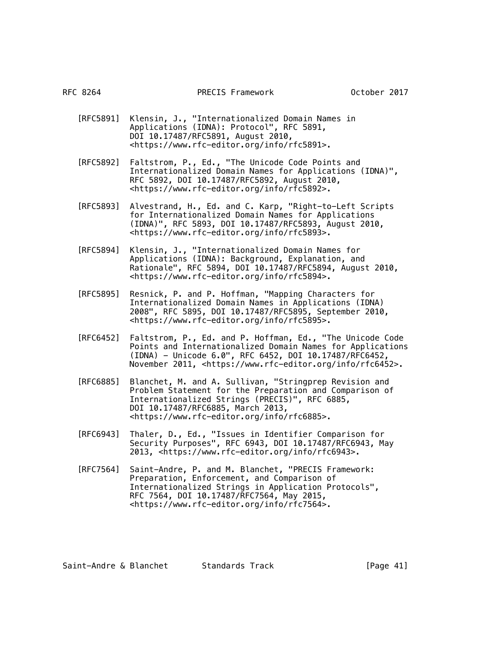- [RFC5891] Klensin, J., "Internationalized Domain Names in Applications (IDNA): Protocol", RFC 5891, DOI 10.17487/RFC5891, August 2010, <https://www.rfc-editor.org/info/rfc5891>.
- [RFC5892] Faltstrom, P., Ed., "The Unicode Code Points and Internationalized Domain Names for Applications (IDNA)", RFC 5892, DOI 10.17487/RFC5892, August 2010, <https://www.rfc-editor.org/info/rfc5892>.
- [RFC5893] Alvestrand, H., Ed. and C. Karp, "Right-to-Left Scripts for Internationalized Domain Names for Applications (IDNA)", RFC 5893, DOI 10.17487/RFC5893, August 2010, <https://www.rfc-editor.org/info/rfc5893>.
- [RFC5894] Klensin, J., "Internationalized Domain Names for Applications (IDNA): Background, Explanation, and Rationale", RFC 5894, DOI 10.17487/RFC5894, August 2010, <https://www.rfc-editor.org/info/rfc5894>.
	- [RFC5895] Resnick, P. and P. Hoffman, "Mapping Characters for Internationalized Domain Names in Applications (IDNA) 2008", RFC 5895, DOI 10.17487/RFC5895, September 2010, <https://www.rfc-editor.org/info/rfc5895>.
	- [RFC6452] Faltstrom, P., Ed. and P. Hoffman, Ed., "The Unicode Code Points and Internationalized Domain Names for Applications (IDNA) - Unicode 6.0", RFC 6452, DOI 10.17487/RFC6452, November 2011, <https://www.rfc-editor.org/info/rfc6452>.
	- [RFC6885] Blanchet, M. and A. Sullivan, "Stringprep Revision and Problem Statement for the Preparation and Comparison of Internationalized Strings (PRECIS)", RFC 6885, DOI 10.17487/RFC6885, March 2013, <https://www.rfc-editor.org/info/rfc6885>.
	- [RFC6943] Thaler, D., Ed., "Issues in Identifier Comparison for Security Purposes", RFC 6943, DOI 10.17487/RFC6943, May 2013, <https://www.rfc-editor.org/info/rfc6943>.
	- [RFC7564] Saint-Andre, P. and M. Blanchet, "PRECIS Framework: Preparation, Enforcement, and Comparison of Internationalized Strings in Application Protocols", RFC 7564, DOI 10.17487/RFC7564, May 2015, <https://www.rfc-editor.org/info/rfc7564>.

Saint-Andre & Blanchet Standards Track [Page 41]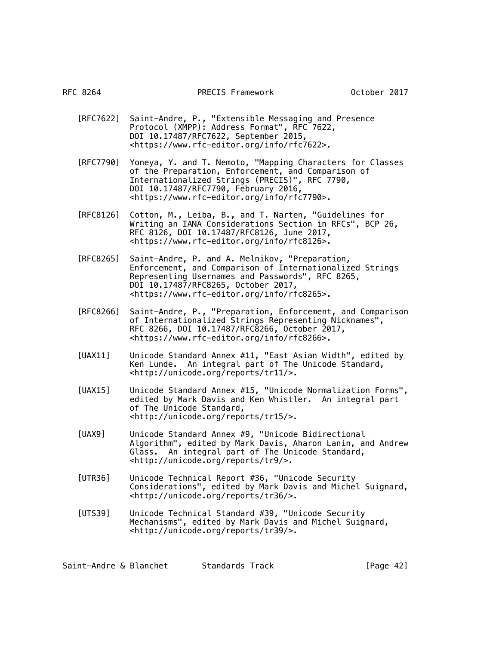- [RFC7622] Saint-Andre, P., "Extensible Messaging and Presence Protocol (XMPP): Address Format", RFC 7622, DOI 10.17487/RFC7622, September 2015, <https://www.rfc-editor.org/info/rfc7622>.
- [RFC7790] Yoneya, Y. and T. Nemoto, "Mapping Characters for Classes of the Preparation, Enforcement, and Comparison of Internationalized Strings (PRECIS)", RFC 7790, DOI 10.17487/RFC7790, February 2016, <https://www.rfc-editor.org/info/rfc7790>.
- [RFC8126] Cotton, M., Leiba, B., and T. Narten, "Guidelines for Writing an IANA Considerations Section in RFCs", BCP 26, RFC 8126, DOI 10.17487/RFC8126, June 2017, <https://www.rfc-editor.org/info/rfc8126>.
	- [RFC8265] Saint-Andre, P. and A. Melnikov, "Preparation, Enforcement, and Comparison of Internationalized Strings Representing Usernames and Passwords", RFC 8265, DOI 10.17487/RFC8265, October 2017, <https://www.rfc-editor.org/info/rfc8265>.
	- [RFC8266] Saint-Andre, P., "Preparation, Enforcement, and Comparison of Internationalized Strings Representing Nicknames", RFC 8266, DOI 10.17487/RFC8266, October 2017, <https://www.rfc-editor.org/info/rfc8266>.
- [UAX11] Unicode Standard Annex #11, "East Asian Width", edited by Ken Lunde. An integral part of The Unicode Standard, <http://unicode.org/reports/tr11/>.
	- [UAX15] Unicode Standard Annex #15, "Unicode Normalization Forms", edited by Mark Davis and Ken Whistler. An integral part of The Unicode Standard, <http://unicode.org/reports/tr15/>.
- [UAX9] Unicode Standard Annex #9, "Unicode Bidirectional Algorithm", edited by Mark Davis, Aharon Lanin, and Andrew Glass. An integral part of The Unicode Standard, <http://unicode.org/reports/tr9/>.
- [UTR36] Unicode Technical Report #36, "Unicode Security Considerations", edited by Mark Davis and Michel Suignard, <http://unicode.org/reports/tr36/>.
- [UTS39] Unicode Technical Standard #39, "Unicode Security Mechanisms", edited by Mark Davis and Michel Suignard, <http://unicode.org/reports/tr39/>.

Saint-Andre & Blanchet Standards Track [Page 42]